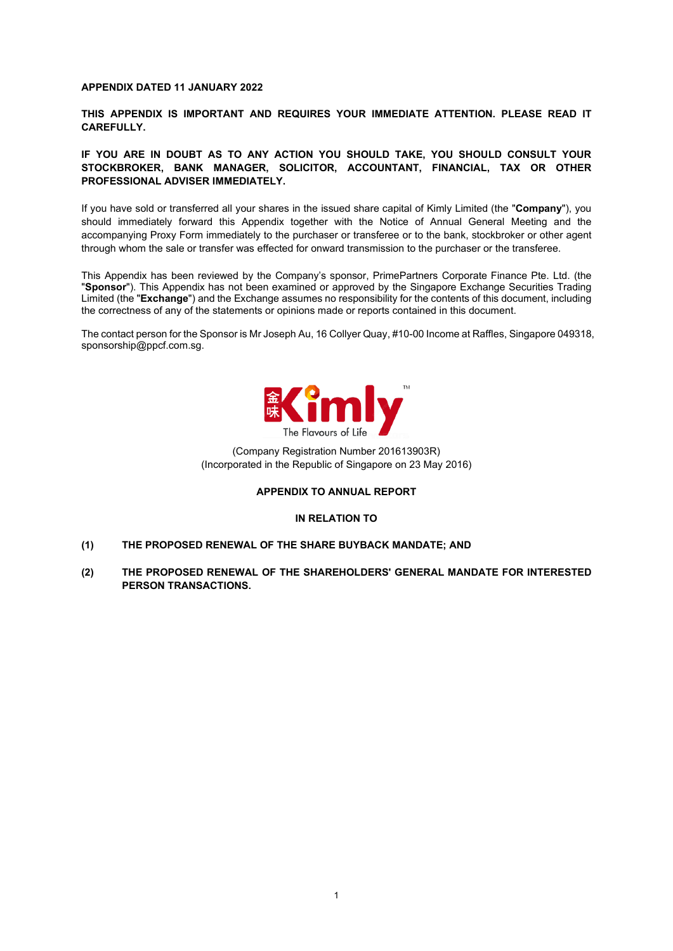#### **APPENDIX DATED 11 JANUARY 2022**

**THIS APPENDIX IS IMPORTANT AND REQUIRES YOUR IMMEDIATE ATTENTION. PLEASE READ IT CAREFULLY.**

#### **IF YOU ARE IN DOUBT AS TO ANY ACTION YOU SHOULD TAKE, YOU SHOULD CONSULT YOUR STOCKBROKER, BANK MANAGER, SOLICITOR, ACCOUNTANT, FINANCIAL, TAX OR OTHER PROFESSIONAL ADVISER IMMEDIATELY.**

If you have sold or transferred all your shares in the issued share capital of Kimly Limited (the "**Company**"), you should immediately forward this Appendix together with the Notice of Annual General Meeting and the accompanying Proxy Form immediately to the purchaser or transferee or to the bank, stockbroker or other agent through whom the sale or transfer was effected for onward transmission to the purchaser or the transferee.

This Appendix has been reviewed by the Company's sponsor, PrimePartners Corporate Finance Pte. Ltd. (the "**Sponsor**"). This Appendix has not been examined or approved by the Singapore Exchange Securities Trading Limited (the "**Exchange**") and the Exchange assumes no responsibility for the contents of this document, including the correctness of any of the statements or opinions made or reports contained in this document.

The contact person for the Sponsor is Mr Joseph Au, 16 Collyer Quay, #10-00 Income at Raffles, Singapore 049318, [sponsorship@ppcf.com.sg.](mailto:sponsorship@ppcf.com.sg)



(Company Registration Number 201613903R) (Incorporated in the Republic of Singapore on 23 May 2016)

#### **APPENDIX TO ANNUAL REPORT**

#### **IN RELATION TO**

- **(1) THE PROPOSED RENEWAL OF THE SHARE BUYBACK MANDATE; AND**
- **(2) THE PROPOSED RENEWAL OF THE SHAREHOLDERS' GENERAL MANDATE FOR INTERESTED PERSON TRANSACTIONS.**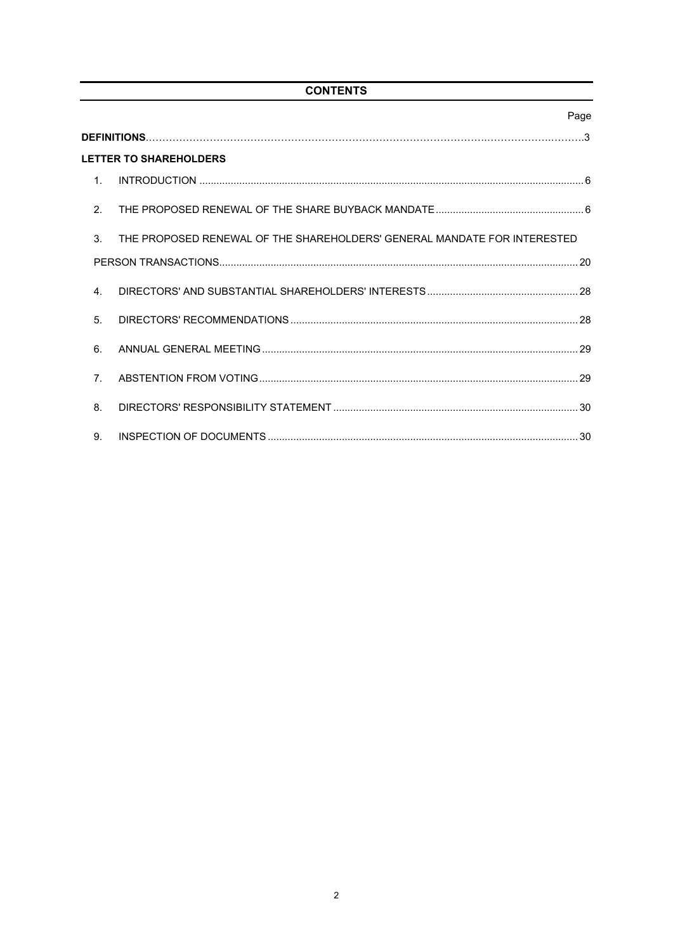# **CONTENTS**

|                | Page                                                                     |
|----------------|--------------------------------------------------------------------------|
|                |                                                                          |
|                | <b>LETTER TO SHAREHOLDERS</b>                                            |
| $1_{-}$        |                                                                          |
| 2 <sub>1</sub> |                                                                          |
| 3.             | THE PROPOSED RENEWAL OF THE SHAREHOLDERS' GENERAL MANDATE FOR INTERESTED |
|                |                                                                          |
| $\mathbf{4}$   |                                                                          |
| 5.             |                                                                          |
| 6.             |                                                                          |
| 7 <sup>1</sup> |                                                                          |
| 8.             |                                                                          |
| 9.             |                                                                          |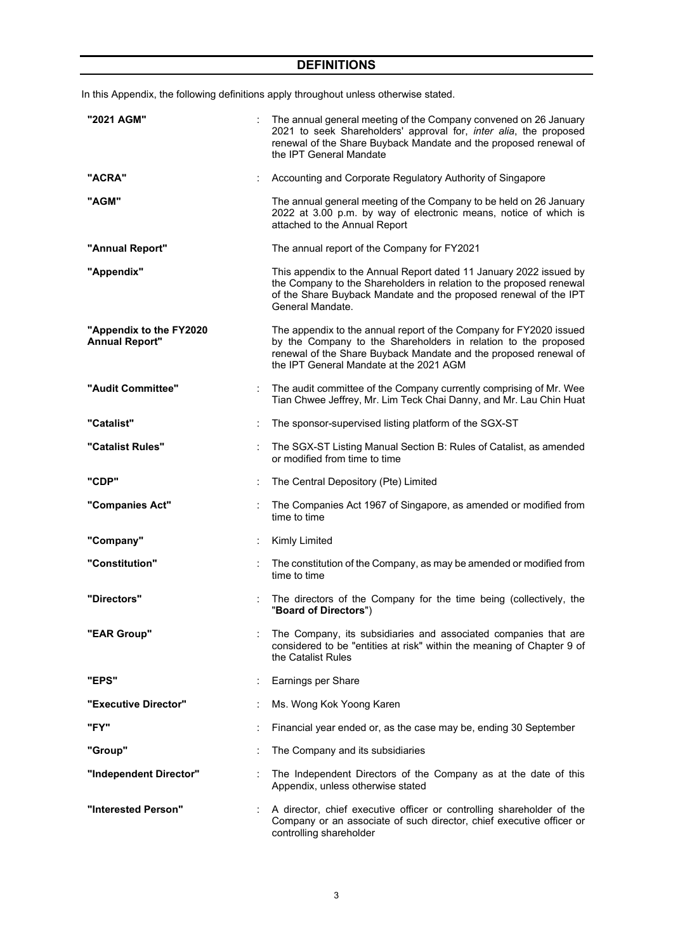# **DEFINITIONS**

|  |  | In this Appendix, the following definitions apply throughout unless otherwise stated. |
|--|--|---------------------------------------------------------------------------------------|
|  |  |                                                                                       |

| "2021 AGM"                                       |    | The annual general meeting of the Company convened on 26 January<br>2021 to seek Shareholders' approval for, inter alia, the proposed<br>renewal of the Share Buyback Mandate and the proposed renewal of<br>the IPT General Mandate                |
|--------------------------------------------------|----|-----------------------------------------------------------------------------------------------------------------------------------------------------------------------------------------------------------------------------------------------------|
| "ACRA"                                           |    | Accounting and Corporate Regulatory Authority of Singapore                                                                                                                                                                                          |
| "AGM"                                            |    | The annual general meeting of the Company to be held on 26 January<br>2022 at 3.00 p.m. by way of electronic means, notice of which is<br>attached to the Annual Report                                                                             |
| "Annual Report"                                  |    | The annual report of the Company for FY2021                                                                                                                                                                                                         |
| "Appendix"                                       |    | This appendix to the Annual Report dated 11 January 2022 issued by<br>the Company to the Shareholders in relation to the proposed renewal<br>of the Share Buyback Mandate and the proposed renewal of the IPT<br>General Mandate.                   |
| "Appendix to the FY2020<br><b>Annual Report"</b> |    | The appendix to the annual report of the Company for FY2020 issued<br>by the Company to the Shareholders in relation to the proposed<br>renewal of the Share Buyback Mandate and the proposed renewal of<br>the IPT General Mandate at the 2021 AGM |
| "Audit Committee"                                |    | The audit committee of the Company currently comprising of Mr. Wee<br>Tian Chwee Jeffrey, Mr. Lim Teck Chai Danny, and Mr. Lau Chin Huat                                                                                                            |
| "Catalist"                                       |    | The sponsor-supervised listing platform of the SGX-ST                                                                                                                                                                                               |
| "Catalist Rules"                                 | ÷  | The SGX-ST Listing Manual Section B: Rules of Catalist, as amended<br>or modified from time to time                                                                                                                                                 |
| "CDP"                                            | ÷. | The Central Depository (Pte) Limited                                                                                                                                                                                                                |
| "Companies Act"                                  |    | The Companies Act 1967 of Singapore, as amended or modified from<br>time to time                                                                                                                                                                    |
| "Company"                                        |    | Kimly Limited                                                                                                                                                                                                                                       |
| "Constitution"                                   |    | The constitution of the Company, as may be amended or modified from<br>time to time                                                                                                                                                                 |
| "Directors"                                      |    | The directors of the Company for the time being (collectively, the<br>"Board of Directors")                                                                                                                                                         |
| "EAR Group"                                      |    | The Company, its subsidiaries and associated companies that are<br>considered to be "entities at risk" within the meaning of Chapter 9 of<br>the Catalist Rules                                                                                     |
| "EPS"                                            |    | Earnings per Share                                                                                                                                                                                                                                  |
| "Executive Director"                             |    | Ms. Wong Kok Yoong Karen                                                                                                                                                                                                                            |
| "FY"                                             |    | Financial year ended or, as the case may be, ending 30 September                                                                                                                                                                                    |
| "Group"                                          |    | The Company and its subsidiaries                                                                                                                                                                                                                    |
| "Independent Director"                           |    | The Independent Directors of the Company as at the date of this<br>Appendix, unless otherwise stated                                                                                                                                                |
| "Interested Person"                              |    | A director, chief executive officer or controlling shareholder of the<br>Company or an associate of such director, chief executive officer or<br>controlling shareholder                                                                            |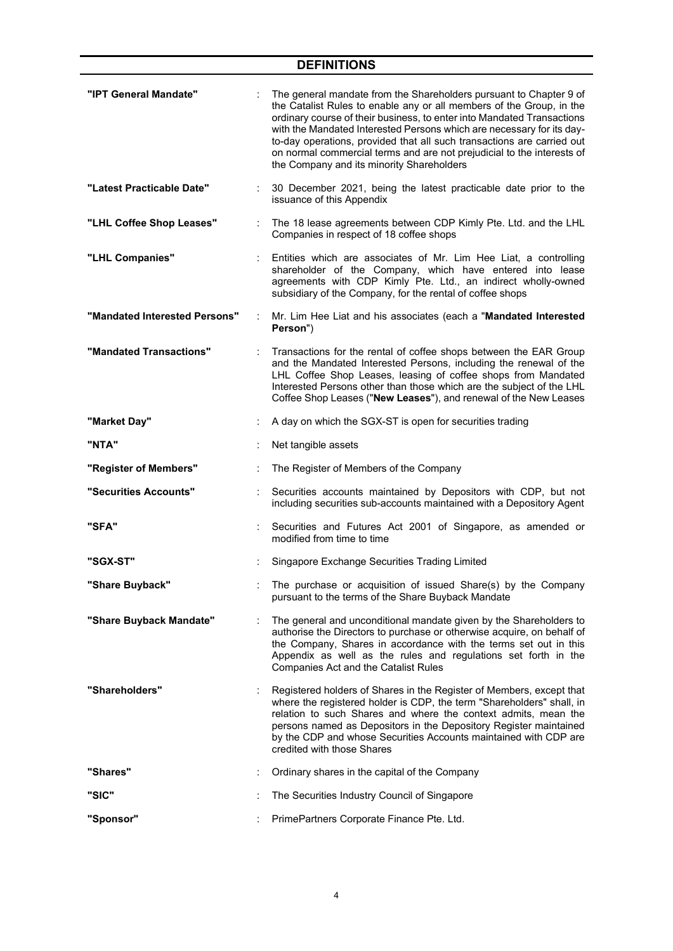# **DEFINITIONS**

| "IPT General Mandate"         | The general mandate from the Shareholders pursuant to Chapter 9 of<br>the Catalist Rules to enable any or all members of the Group, in the<br>ordinary course of their business, to enter into Mandated Transactions<br>with the Mandated Interested Persons which are necessary for its day-<br>to-day operations, provided that all such transactions are carried out<br>on normal commercial terms and are not prejudicial to the interests of<br>the Company and its minority Shareholders |
|-------------------------------|------------------------------------------------------------------------------------------------------------------------------------------------------------------------------------------------------------------------------------------------------------------------------------------------------------------------------------------------------------------------------------------------------------------------------------------------------------------------------------------------|
| "Latest Practicable Date"     | 30 December 2021, being the latest practicable date prior to the<br>issuance of this Appendix                                                                                                                                                                                                                                                                                                                                                                                                  |
| "LHL Coffee Shop Leases"      | The 18 lease agreements between CDP Kimly Pte. Ltd. and the LHL<br>Companies in respect of 18 coffee shops                                                                                                                                                                                                                                                                                                                                                                                     |
| "LHL Companies"               | Entities which are associates of Mr. Lim Hee Liat, a controlling<br>shareholder of the Company, which have entered into lease<br>agreements with CDP Kimly Pte. Ltd., an indirect wholly-owned<br>subsidiary of the Company, for the rental of coffee shops                                                                                                                                                                                                                                    |
| "Mandated Interested Persons" | Mr. Lim Hee Liat and his associates (each a "Mandated Interested<br>Person")                                                                                                                                                                                                                                                                                                                                                                                                                   |
| "Mandated Transactions"       | Transactions for the rental of coffee shops between the EAR Group<br>and the Mandated Interested Persons, including the renewal of the<br>LHL Coffee Shop Leases, leasing of coffee shops from Mandated<br>Interested Persons other than those which are the subject of the LHL<br>Coffee Shop Leases ("New Leases"), and renewal of the New Leases                                                                                                                                            |
| "Market Day"                  | A day on which the SGX-ST is open for securities trading                                                                                                                                                                                                                                                                                                                                                                                                                                       |
| "NTA"                         | Net tangible assets                                                                                                                                                                                                                                                                                                                                                                                                                                                                            |
| "Register of Members"         | The Register of Members of the Company                                                                                                                                                                                                                                                                                                                                                                                                                                                         |
| "Securities Accounts"         | Securities accounts maintained by Depositors with CDP, but not<br>including securities sub-accounts maintained with a Depository Agent                                                                                                                                                                                                                                                                                                                                                         |
| "SFA"                         | Securities and Futures Act 2001 of Singapore, as amended or<br>modified from time to time                                                                                                                                                                                                                                                                                                                                                                                                      |
| "SGX-ST"                      | Singapore Exchange Securities Trading Limited                                                                                                                                                                                                                                                                                                                                                                                                                                                  |
| "Share Buvback"               | The purchase or acquisition of issued Share(s) by the Company<br>pursuant to the terms of the Share Buyback Mandate                                                                                                                                                                                                                                                                                                                                                                            |
| "Share Buyback Mandate"       | The general and unconditional mandate given by the Shareholders to<br>authorise the Directors to purchase or otherwise acquire, on behalf of<br>the Company, Shares in accordance with the terms set out in this<br>Appendix as well as the rules and regulations set forth in the<br><b>Companies Act and the Catalist Rules</b>                                                                                                                                                              |
| "Shareholders"                | Registered holders of Shares in the Register of Members, except that<br>where the registered holder is CDP, the term "Shareholders" shall, in<br>relation to such Shares and where the context admits, mean the<br>persons named as Depositors in the Depository Register maintained<br>by the CDP and whose Securities Accounts maintained with CDP are<br>credited with those Shares                                                                                                         |
| "Shares"                      | Ordinary shares in the capital of the Company                                                                                                                                                                                                                                                                                                                                                                                                                                                  |
| "SIC"                         | The Securities Industry Council of Singapore                                                                                                                                                                                                                                                                                                                                                                                                                                                   |
| "Sponsor"                     | PrimePartners Corporate Finance Pte. Ltd.                                                                                                                                                                                                                                                                                                                                                                                                                                                      |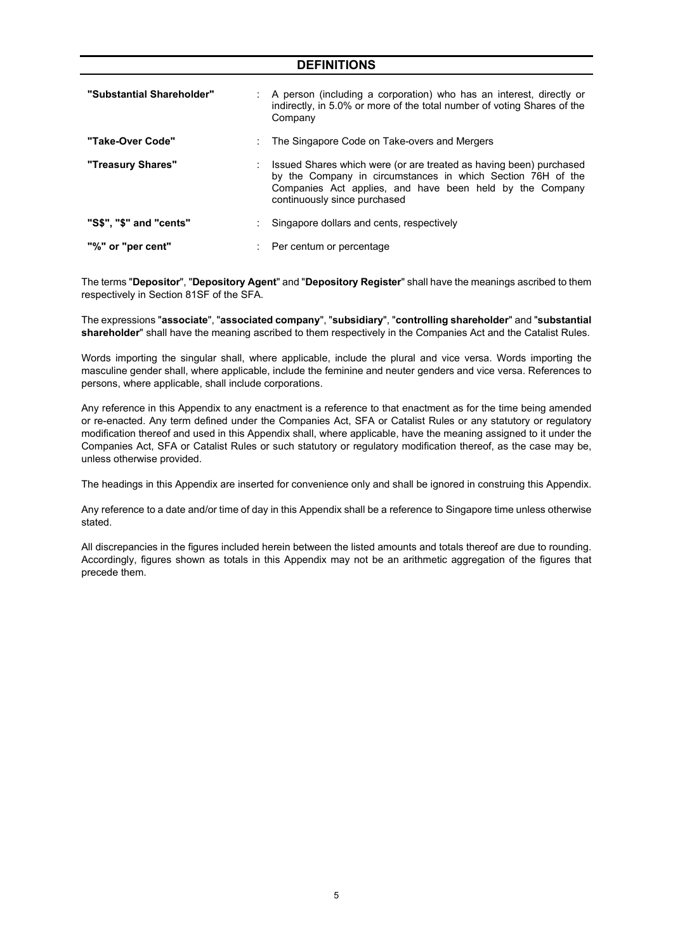| <b>DEFINITIONS</b>        |                                                                                                                                                                                                                               |  |  |  |  |  |
|---------------------------|-------------------------------------------------------------------------------------------------------------------------------------------------------------------------------------------------------------------------------|--|--|--|--|--|
| "Substantial Shareholder" | : A person (including a corporation) who has an interest, directly or<br>indirectly, in 5.0% or more of the total number of voting Shares of the<br>Company                                                                   |  |  |  |  |  |
| "Take-Over Code"          | The Singapore Code on Take-overs and Mergers                                                                                                                                                                                  |  |  |  |  |  |
| "Treasury Shares"         | Issued Shares which were (or are treated as having been) purchased<br>by the Company in circumstances in which Section 76H of the<br>Companies Act applies, and have been held by the Company<br>continuously since purchased |  |  |  |  |  |
| "S\$", "\$" and "cents"   | Singapore dollars and cents, respectively                                                                                                                                                                                     |  |  |  |  |  |
| "%" or "per cent"         | Per centum or percentage                                                                                                                                                                                                      |  |  |  |  |  |

The terms "**Depositor**", "**Depository Agent**" and "**Depository Register**" shall have the meanings ascribed to them respectively in Section 81SF of the SFA.

The expressions "**associate**", "**associated company**", "**subsidiary**", "**controlling shareholder**" and "**substantial shareholder**" shall have the meaning ascribed to them respectively in the Companies Act and the Catalist Rules.

Words importing the singular shall, where applicable, include the plural and vice versa. Words importing the masculine gender shall, where applicable, include the feminine and neuter genders and vice versa. References to persons, where applicable, shall include corporations.

Any reference in this Appendix to any enactment is a reference to that enactment as for the time being amended or re-enacted. Any term defined under the Companies Act, SFA or Catalist Rules or any statutory or regulatory modification thereof and used in this Appendix shall, where applicable, have the meaning assigned to it under the Companies Act, SFA or Catalist Rules or such statutory or regulatory modification thereof, as the case may be, unless otherwise provided.

The headings in this Appendix are inserted for convenience only and shall be ignored in construing this Appendix.

Any reference to a date and/or time of day in this Appendix shall be a reference to Singapore time unless otherwise stated.

All discrepancies in the figures included herein between the listed amounts and totals thereof are due to rounding. Accordingly, figures shown as totals in this Appendix may not be an arithmetic aggregation of the figures that precede them.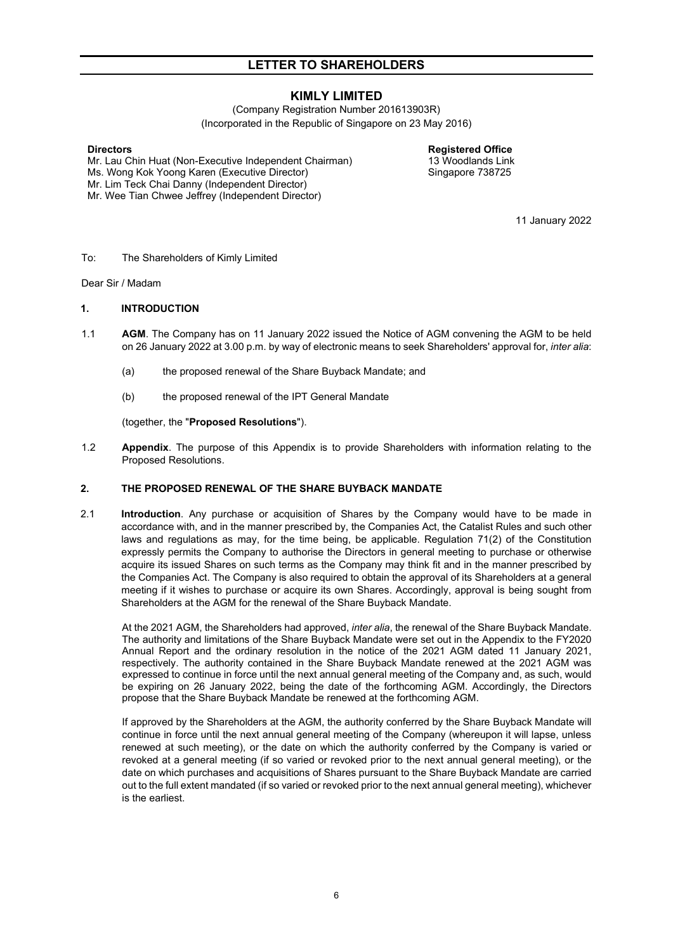## **KIMLY LIMITED**

(Company Registration Number 201613903R) (Incorporated in the Republic of Singapore on 23 May 2016)

**Directors Registered Office** Mr. Lau Chin Huat (Non-Executive Independent Chairman) Ms. Wong Kok Yoong Karen (Executive Director) Mr. Lim Teck Chai Danny (Independent Director) Mr. Wee Tian Chwee Jeffrey (Independent Director)

Singapore 738725

11 January 2022

#### To: The Shareholders of Kimly Limited

Dear Sir / Madam

#### <span id="page-5-0"></span>**1. INTRODUCTION**

- 1.1 **AGM**. The Company has on 11 January 2022 issued the Notice of AGM convening the AGM to be held on 26 January 2022 at 3.00 p.m. by way of electronic means to seek Shareholders' approval for, *inter alia*:
	- (a) the proposed renewal of the Share Buyback Mandate; and
	- (b) the proposed renewal of the IPT General Mandate

(together, the "**Proposed Resolutions**").

1.2 **Appendix**. The purpose of this Appendix is to provide Shareholders with information relating to the Proposed Resolutions.

### <span id="page-5-1"></span>**2. THE PROPOSED RENEWAL OF THE SHARE BUYBACK MANDATE**

2.1 **Introduction**. Any purchase or acquisition of Shares by the Company would have to be made in accordance with, and in the manner prescribed by, the Companies Act, the Catalist Rules and such other laws and regulations as may, for the time being, be applicable. Regulation 71(2) of the Constitution expressly permits the Company to authorise the Directors in general meeting to purchase or otherwise acquire its issued Shares on such terms as the Company may think fit and in the manner prescribed by the Companies Act. The Company is also required to obtain the approval of its Shareholders at a general meeting if it wishes to purchase or acquire its own Shares. Accordingly, approval is being sought from Shareholders at the AGM for the renewal of the Share Buyback Mandate.

At the 2021 AGM, the Shareholders had approved, *inter alia*, the renewal of the Share Buyback Mandate. The authority and limitations of the Share Buyback Mandate were set out in the Appendix to the FY2020 Annual Report and the ordinary resolution in the notice of the 2021 AGM dated 11 January 2021, respectively. The authority contained in the Share Buyback Mandate renewed at the 2021 AGM was expressed to continue in force until the next annual general meeting of the Company and, as such, would be expiring on 26 January 2022, being the date of the forthcoming AGM. Accordingly, the Directors propose that the Share Buyback Mandate be renewed at the forthcoming AGM.

If approved by the Shareholders at the AGM, the authority conferred by the Share Buyback Mandate will continue in force until the next annual general meeting of the Company (whereupon it will lapse, unless renewed at such meeting), or the date on which the authority conferred by the Company is varied or revoked at a general meeting (if so varied or revoked prior to the next annual general meeting), or the date on which purchases and acquisitions of Shares pursuant to the Share Buyback Mandate are carried out to the full extent mandated (if so varied or revoked prior to the next annual general meeting), whichever is the earliest.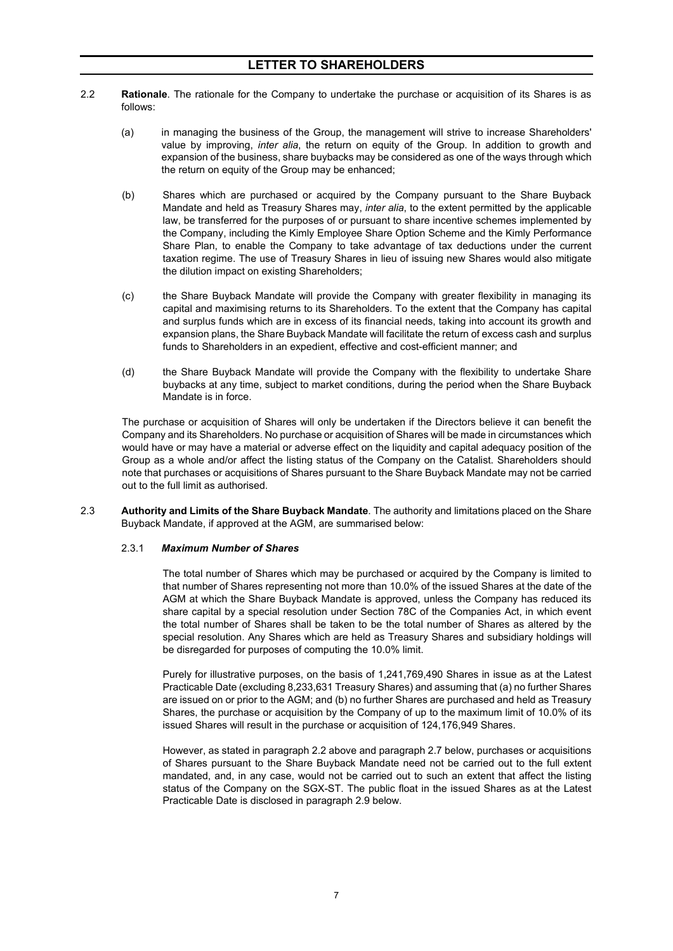- 2.2 **Rationale**. The rationale for the Company to undertake the purchase or acquisition of its Shares is as follows:
	- (a) in managing the business of the Group, the management will strive to increase Shareholders' value by improving, *inter alia*, the return on equity of the Group. In addition to growth and expansion of the business, share buybacks may be considered as one of the ways through which the return on equity of the Group may be enhanced;
	- (b) Shares which are purchased or acquired by the Company pursuant to the Share Buyback Mandate and held as Treasury Shares may, *inter alia*, to the extent permitted by the applicable law, be transferred for the purposes of or pursuant to share incentive schemes implemented by the Company, including the Kimly Employee Share Option Scheme and the Kimly Performance Share Plan, to enable the Company to take advantage of tax deductions under the current taxation regime. The use of Treasury Shares in lieu of issuing new Shares would also mitigate the dilution impact on existing Shareholders;
	- (c) the Share Buyback Mandate will provide the Company with greater flexibility in managing its capital and maximising returns to its Shareholders. To the extent that the Company has capital and surplus funds which are in excess of its financial needs, taking into account its growth and expansion plans, the Share Buyback Mandate will facilitate the return of excess cash and surplus funds to Shareholders in an expedient, effective and cost-efficient manner; and
	- (d) the Share Buyback Mandate will provide the Company with the flexibility to undertake Share buybacks at any time, subject to market conditions, during the period when the Share Buyback Mandate is in force.

The purchase or acquisition of Shares will only be undertaken if the Directors believe it can benefit the Company and its Shareholders. No purchase or acquisition of Shares will be made in circumstances which would have or may have a material or adverse effect on the liquidity and capital adequacy position of the Group as a whole and/or affect the listing status of the Company on the Catalist. Shareholders should note that purchases or acquisitions of Shares pursuant to the Share Buyback Mandate may not be carried out to the full limit as authorised.

2.3 **Authority and Limits of the Share Buyback Mandate**. The authority and limitations placed on the Share Buyback Mandate, if approved at the AGM, are summarised below:

#### 2.3.1 *Maximum Number of Shares*

The total number of Shares which may be purchased or acquired by the Company is limited to that number of Shares representing not more than 10.0% of the issued Shares at the date of the AGM at which the Share Buyback Mandate is approved, unless the Company has reduced its share capital by a special resolution under Section 78C of the Companies Act, in which event the total number of Shares shall be taken to be the total number of Shares as altered by the special resolution. Any Shares which are held as Treasury Shares and subsidiary holdings will be disregarded for purposes of computing the 10.0% limit.

Purely for illustrative purposes, on the basis of 1,241,769,490 Shares in issue as at the Latest Practicable Date (excluding 8,233,631 Treasury Shares) and assuming that (a) no further Shares are issued on or prior to the AGM; and (b) no further Shares are purchased and held as Treasury Shares, the purchase or acquisition by the Company of up to the maximum limit of 10.0% of its issued Shares will result in the purchase or acquisition of 124,176,949 Shares.

However, as stated in paragraph 2.2 above and paragraph 2.7 below, purchases or acquisitions of Shares pursuant to the Share Buyback Mandate need not be carried out to the full extent mandated, and, in any case, would not be carried out to such an extent that affect the listing status of the Company on the SGX-ST. The public float in the issued Shares as at the Latest Practicable Date is disclosed in paragraph 2.9 below.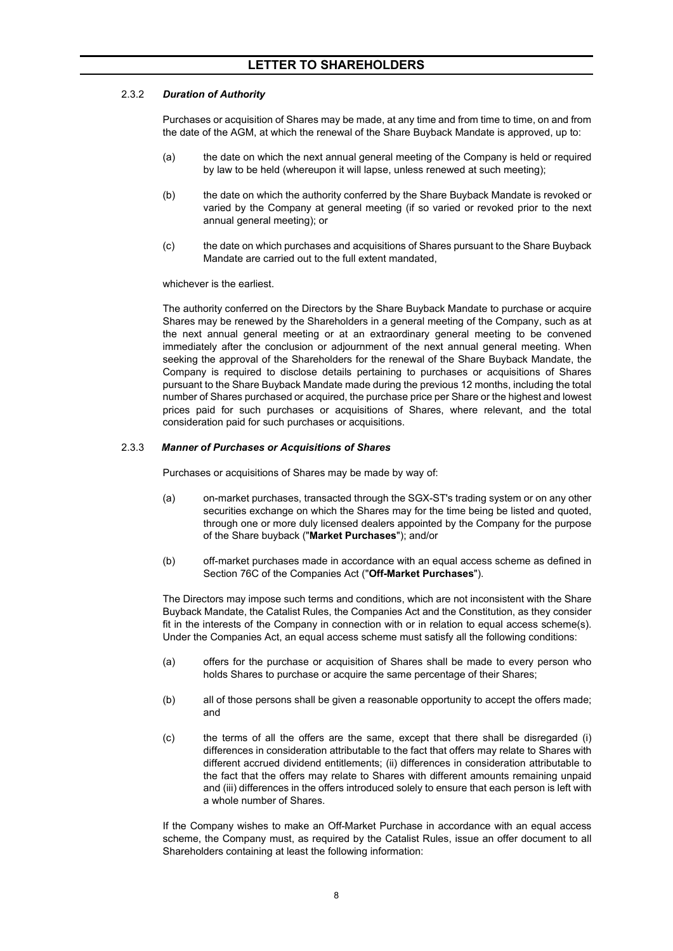### 2.3.2 *Duration of Authority*

Purchases or acquisition of Shares may be made, at any time and from time to time, on and from the date of the AGM, at which the renewal of the Share Buyback Mandate is approved, up to:

- (a) the date on which the next annual general meeting of the Company is held or required by law to be held (whereupon it will lapse, unless renewed at such meeting);
- (b) the date on which the authority conferred by the Share Buyback Mandate is revoked or varied by the Company at general meeting (if so varied or revoked prior to the next annual general meeting); or
- (c) the date on which purchases and acquisitions of Shares pursuant to the Share Buyback Mandate are carried out to the full extent mandated,

whichever is the earliest.

The authority conferred on the Directors by the Share Buyback Mandate to purchase or acquire Shares may be renewed by the Shareholders in a general meeting of the Company, such as at the next annual general meeting or at an extraordinary general meeting to be convened immediately after the conclusion or adjournment of the next annual general meeting. When seeking the approval of the Shareholders for the renewal of the Share Buyback Mandate, the Company is required to disclose details pertaining to purchases or acquisitions of Shares pursuant to the Share Buyback Mandate made during the previous 12 months, including the total number of Shares purchased or acquired, the purchase price per Share or the highest and lowest prices paid for such purchases or acquisitions of Shares, where relevant, and the total consideration paid for such purchases or acquisitions.

#### 2.3.3 *Manner of Purchases or Acquisitions of Shares*

Purchases or acquisitions of Shares may be made by way of:

- (a) on-market purchases, transacted through the SGX-ST's trading system or on any other securities exchange on which the Shares may for the time being be listed and quoted, through one or more duly licensed dealers appointed by the Company for the purpose of the Share buyback ("**Market Purchases**"); and/or
- (b) off-market purchases made in accordance with an equal access scheme as defined in Section 76C of the Companies Act ("**Off-Market Purchases**").

The Directors may impose such terms and conditions, which are not inconsistent with the Share Buyback Mandate, the Catalist Rules, the Companies Act and the Constitution, as they consider fit in the interests of the Company in connection with or in relation to equal access scheme(s). Under the Companies Act, an equal access scheme must satisfy all the following conditions:

- (a) offers for the purchase or acquisition of Shares shall be made to every person who holds Shares to purchase or acquire the same percentage of their Shares;
- (b) all of those persons shall be given a reasonable opportunity to accept the offers made; and
- (c) the terms of all the offers are the same, except that there shall be disregarded (i) differences in consideration attributable to the fact that offers may relate to Shares with different accrued dividend entitlements; (ii) differences in consideration attributable to the fact that the offers may relate to Shares with different amounts remaining unpaid and (iii) differences in the offers introduced solely to ensure that each person is left with a whole number of Shares.

If the Company wishes to make an Off-Market Purchase in accordance with an equal access scheme, the Company must, as required by the Catalist Rules, issue an offer document to all Shareholders containing at least the following information: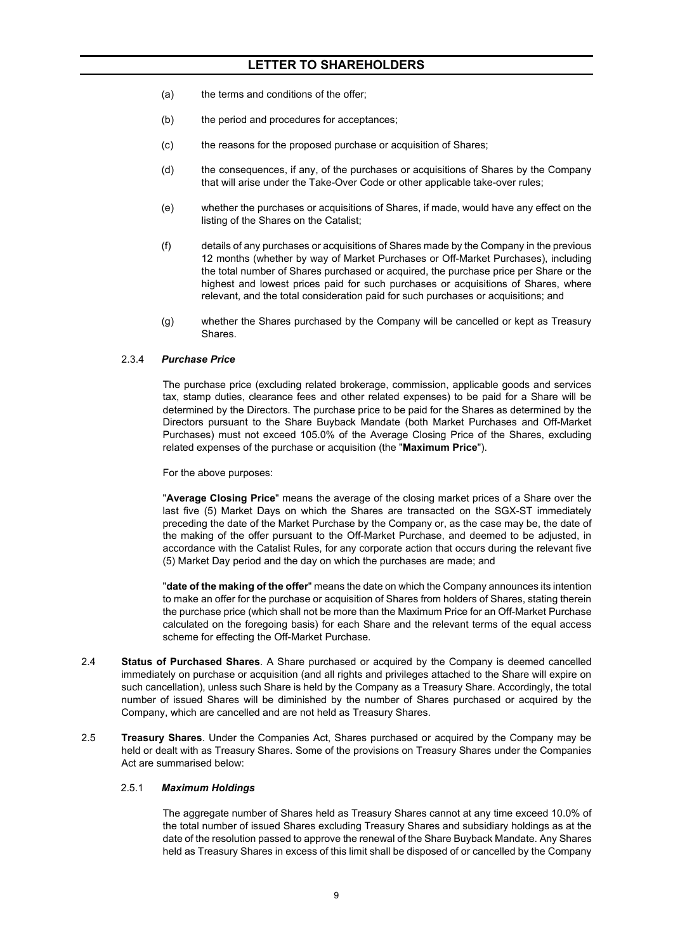- (a) the terms and conditions of the offer;
- (b) the period and procedures for acceptances;
- (c) the reasons for the proposed purchase or acquisition of Shares;
- (d) the consequences, if any, of the purchases or acquisitions of Shares by the Company that will arise under the Take-Over Code or other applicable take-over rules;
- (e) whether the purchases or acquisitions of Shares, if made, would have any effect on the listing of the Shares on the Catalist;
- (f) details of any purchases or acquisitions of Shares made by the Company in the previous 12 months (whether by way of Market Purchases or Off-Market Purchases), including the total number of Shares purchased or acquired, the purchase price per Share or the highest and lowest prices paid for such purchases or acquisitions of Shares, where relevant, and the total consideration paid for such purchases or acquisitions; and
- (g) whether the Shares purchased by the Company will be cancelled or kept as Treasury Shares.

#### 2.3.4 *Purchase Price*

The purchase price (excluding related brokerage, commission, applicable goods and services tax, stamp duties, clearance fees and other related expenses) to be paid for a Share will be determined by the Directors. The purchase price to be paid for the Shares as determined by the Directors pursuant to the Share Buyback Mandate (both Market Purchases and Off-Market Purchases) must not exceed 105.0% of the Average Closing Price of the Shares, excluding related expenses of the purchase or acquisition (the "**Maximum Price**").

For the above purposes:

"**Average Closing Price**" means the average of the closing market prices of a Share over the last five (5) Market Days on which the Shares are transacted on the SGX-ST immediately preceding the date of the Market Purchase by the Company or, as the case may be, the date of the making of the offer pursuant to the Off-Market Purchase, and deemed to be adjusted, in accordance with the Catalist Rules, for any corporate action that occurs during the relevant five (5) Market Day period and the day on which the purchases are made; and

"**date of the making of the offer**" means the date on which the Company announces its intention to make an offer for the purchase or acquisition of Shares from holders of Shares, stating therein the purchase price (which shall not be more than the Maximum Price for an Off-Market Purchase calculated on the foregoing basis) for each Share and the relevant terms of the equal access scheme for effecting the Off-Market Purchase.

- 2.4 **Status of Purchased Shares**. A Share purchased or acquired by the Company is deemed cancelled immediately on purchase or acquisition (and all rights and privileges attached to the Share will expire on such cancellation), unless such Share is held by the Company as a Treasury Share. Accordingly, the total number of issued Shares will be diminished by the number of Shares purchased or acquired by the Company, which are cancelled and are not held as Treasury Shares.
- 2.5 **Treasury Shares**. Under the Companies Act, Shares purchased or acquired by the Company may be held or dealt with as Treasury Shares. Some of the provisions on Treasury Shares under the Companies Act are summarised below:

#### 2.5.1 *Maximum Holdings*

The aggregate number of Shares held as Treasury Shares cannot at any time exceed 10.0% of the total number of issued Shares excluding Treasury Shares and subsidiary holdings as at the date of the resolution passed to approve the renewal of the Share Buyback Mandate. Any Shares held as Treasury Shares in excess of this limit shall be disposed of or cancelled by the Company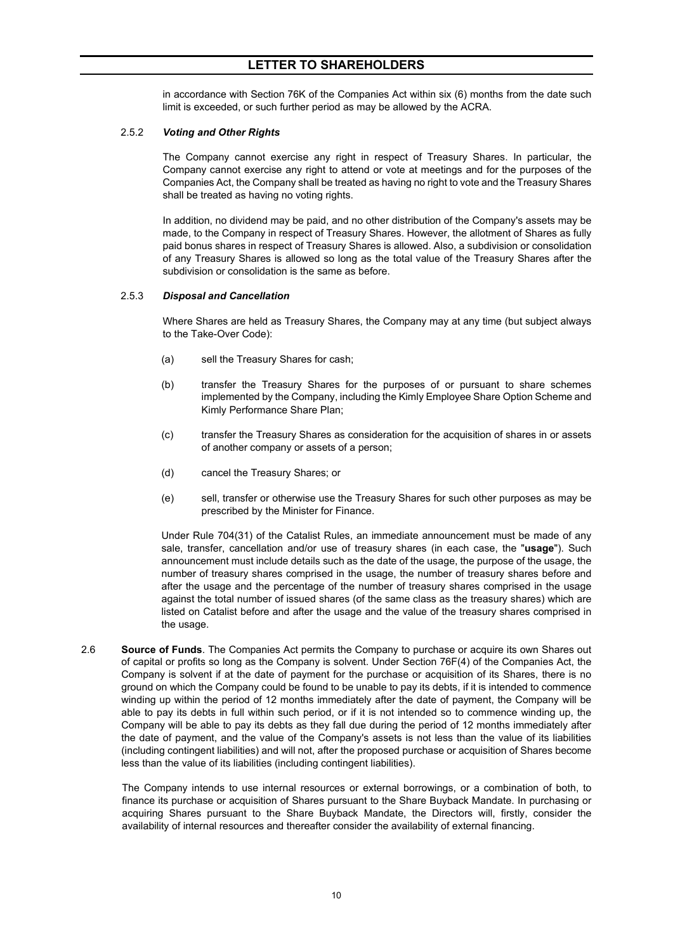in accordance with Section 76K of the Companies Act within six (6) months from the date such limit is exceeded, or such further period as may be allowed by the ACRA.

#### 2.5.2 *Voting and Other Rights*

The Company cannot exercise any right in respect of Treasury Shares. In particular, the Company cannot exercise any right to attend or vote at meetings and for the purposes of the Companies Act, the Company shall be treated as having no right to vote and the Treasury Shares shall be treated as having no voting rights.

In addition, no dividend may be paid, and no other distribution of the Company's assets may be made, to the Company in respect of Treasury Shares. However, the allotment of Shares as fully paid bonus shares in respect of Treasury Shares is allowed. Also, a subdivision or consolidation of any Treasury Shares is allowed so long as the total value of the Treasury Shares after the subdivision or consolidation is the same as before.

#### 2.5.3 *Disposal and Cancellation*

Where Shares are held as Treasury Shares, the Company may at any time (but subject always to the Take-Over Code):

- (a) sell the Treasury Shares for cash;
- (b) transfer the Treasury Shares for the purposes of or pursuant to share schemes implemented by the Company, including the Kimly Employee Share Option Scheme and Kimly Performance Share Plan;
- (c) transfer the Treasury Shares as consideration for the acquisition of shares in or assets of another company or assets of a person;
- (d) cancel the Treasury Shares; or
- (e) sell, transfer or otherwise use the Treasury Shares for such other purposes as may be prescribed by the Minister for Finance.

Under Rule 704(31) of the Catalist Rules, an immediate announcement must be made of any sale, transfer, cancellation and/or use of treasury shares (in each case, the "**usage**"). Such announcement must include details such as the date of the usage, the purpose of the usage, the number of treasury shares comprised in the usage, the number of treasury shares before and after the usage and the percentage of the number of treasury shares comprised in the usage against the total number of issued shares (of the same class as the treasury shares) which are listed on Catalist before and after the usage and the value of the treasury shares comprised in the usage.

2.6 **Source of Funds**. The Companies Act permits the Company to purchase or acquire its own Shares out of capital or profits so long as the Company is solvent. Under Section 76F(4) of the Companies Act, the Company is solvent if at the date of payment for the purchase or acquisition of its Shares, there is no ground on which the Company could be found to be unable to pay its debts, if it is intended to commence winding up within the period of 12 months immediately after the date of payment, the Company will be able to pay its debts in full within such period, or if it is not intended so to commence winding up, the Company will be able to pay its debts as they fall due during the period of 12 months immediately after the date of payment, and the value of the Company's assets is not less than the value of its liabilities (including contingent liabilities) and will not, after the proposed purchase or acquisition of Shares become less than the value of its liabilities (including contingent liabilities).

The Company intends to use internal resources or external borrowings, or a combination of both, to finance its purchase or acquisition of Shares pursuant to the Share Buyback Mandate. In purchasing or acquiring Shares pursuant to the Share Buyback Mandate, the Directors will, firstly, consider the availability of internal resources and thereafter consider the availability of external financing.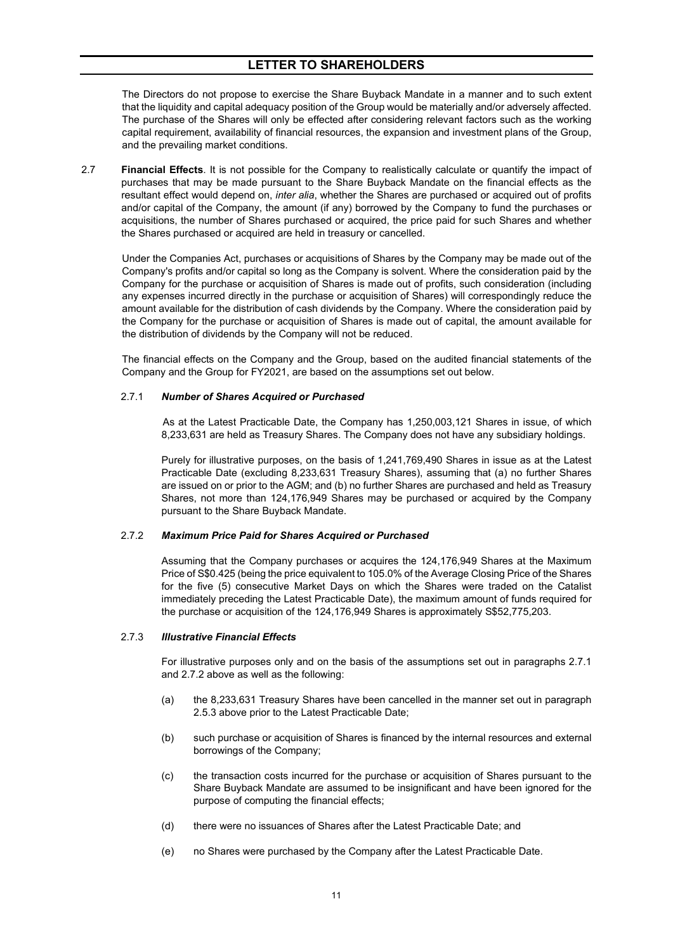The Directors do not propose to exercise the Share Buyback Mandate in a manner and to such extent that the liquidity and capital adequacy position of the Group would be materially and/or adversely affected. The purchase of the Shares will only be effected after considering relevant factors such as the working capital requirement, availability of financial resources, the expansion and investment plans of the Group, and the prevailing market conditions.

2.7 **Financial Effects**. It is not possible for the Company to realistically calculate or quantify the impact of purchases that may be made pursuant to the Share Buyback Mandate on the financial effects as the resultant effect would depend on, *inter alia*, whether the Shares are purchased or acquired out of profits and/or capital of the Company, the amount (if any) borrowed by the Company to fund the purchases or acquisitions, the number of Shares purchased or acquired, the price paid for such Shares and whether the Shares purchased or acquired are held in treasury or cancelled.

Under the Companies Act, purchases or acquisitions of Shares by the Company may be made out of the Company's profits and/or capital so long as the Company is solvent. Where the consideration paid by the Company for the purchase or acquisition of Shares is made out of profits, such consideration (including any expenses incurred directly in the purchase or acquisition of Shares) will correspondingly reduce the amount available for the distribution of cash dividends by the Company. Where the consideration paid by the Company for the purchase or acquisition of Shares is made out of capital, the amount available for the distribution of dividends by the Company will not be reduced.

The financial effects on the Company and the Group, based on the audited financial statements of the Company and the Group for FY2021, are based on the assumptions set out below.

#### 2.7.1 *Number of Shares Acquired or Purchased*

As at the Latest Practicable Date, the Company has 1,250,003,121 Shares in issue, of which 8,233,631 are held as Treasury Shares. The Company does not have any subsidiary holdings.

Purely for illustrative purposes, on the basis of 1,241,769,490 Shares in issue as at the Latest Practicable Date (excluding 8,233,631 Treasury Shares), assuming that (a) no further Shares are issued on or prior to the AGM; and (b) no further Shares are purchased and held as Treasury Shares, not more than 124,176,949 Shares may be purchased or acquired by the Company pursuant to the Share Buyback Mandate.

#### 2.7.2 *Maximum Price Paid for Shares Acquired or Purchased*

Assuming that the Company purchases or acquires the 124,176,949 Shares at the Maximum Price of S\$0.425 (being the price equivalent to 105.0% of the Average Closing Price of the Shares for the five (5) consecutive Market Days on which the Shares were traded on the Catalist immediately preceding the Latest Practicable Date), the maximum amount of funds required for the purchase or acquisition of the 124,176,949 Shares is approximately S\$52,775,203.

#### 2.7.3 *Illustrative Financial Effects*

For illustrative purposes only and on the basis of the assumptions set out in paragraphs 2.7.1 and 2.7.2 above as well as the following:

- (a) the 8,233,631 Treasury Shares have been cancelled in the manner set out in paragraph 2.5.3 above prior to the Latest Practicable Date;
- (b) such purchase or acquisition of Shares is financed by the internal resources and external borrowings of the Company;
- (c) the transaction costs incurred for the purchase or acquisition of Shares pursuant to the Share Buyback Mandate are assumed to be insignificant and have been ignored for the purpose of computing the financial effects;
- (d) there were no issuances of Shares after the Latest Practicable Date; and
- (e) no Shares were purchased by the Company after the Latest Practicable Date.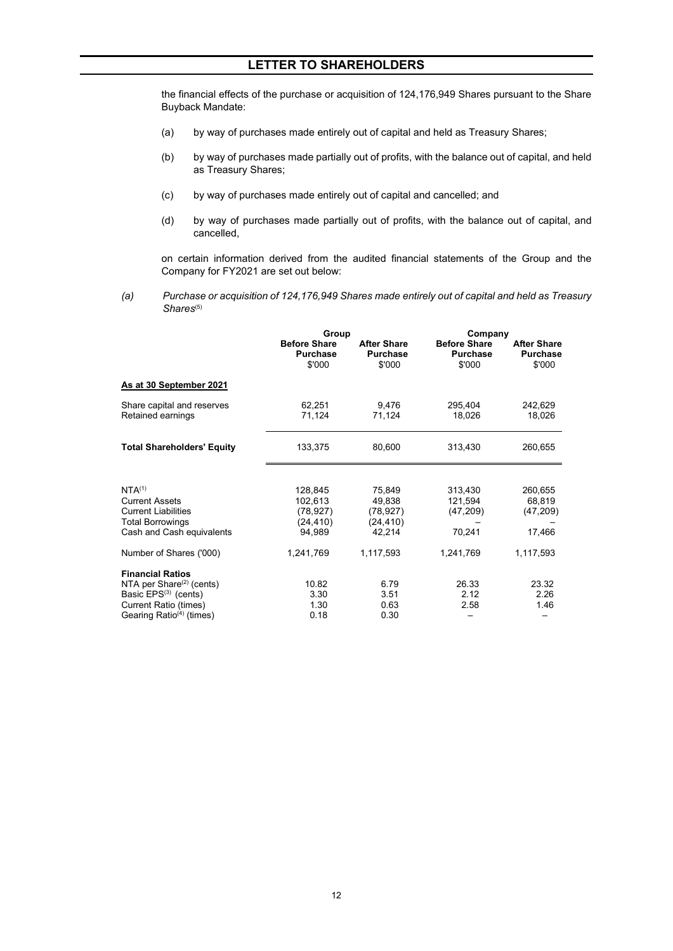the financial effects of the purchase or acquisition of 124,176,949 Shares pursuant to the Share Buyback Mandate:

- (a) by way of purchases made entirely out of capital and held as Treasury Shares;
- (b) by way of purchases made partially out of profits, with the balance out of capital, and held as Treasury Shares;
- (c) by way of purchases made entirely out of capital and cancelled; and
- (d) by way of purchases made partially out of profits, with the balance out of capital, and cancelled,

on certain information derived from the audited financial statements of the Group and the Company for FY2021 are set out below:

*(a) Purchase or acquisition of 124,176,949 Shares made entirely out of capital and held as Treasury*  Shares<sup>(5)</sup>

|                                                 | Group                                            |                                                 | Company                                          |                                                 |  |
|-------------------------------------------------|--------------------------------------------------|-------------------------------------------------|--------------------------------------------------|-------------------------------------------------|--|
|                                                 | <b>Before Share</b><br><b>Purchase</b><br>\$'000 | <b>After Share</b><br><b>Purchase</b><br>\$'000 | <b>Before Share</b><br><b>Purchase</b><br>\$'000 | <b>After Share</b><br><b>Purchase</b><br>\$'000 |  |
| As at 30 September 2021                         |                                                  |                                                 |                                                  |                                                 |  |
| Share capital and reserves<br>Retained earnings | 62.251<br>71,124                                 | 9.476<br>71,124                                 | 295,404<br>18,026                                | 242,629<br>18,026                               |  |
| <b>Total Shareholders' Equity</b>               | 133,375                                          | 80,600                                          | 313,430                                          | 260,655                                         |  |
|                                                 |                                                  |                                                 |                                                  |                                                 |  |
| NTA <sup>(1)</sup>                              | 128,845                                          | 75,849                                          | 313,430                                          | 260,655                                         |  |
| <b>Current Assets</b>                           | 102,613                                          | 49,838                                          | 121,594                                          | 68,819                                          |  |
| <b>Current Liabilities</b>                      | (78, 927)                                        | (78, 927)                                       | (47, 209)                                        | (47, 209)                                       |  |
| <b>Total Borrowings</b>                         | (24, 410)                                        | (24, 410)                                       |                                                  |                                                 |  |
| Cash and Cash equivalents                       | 94,989                                           | 42.214                                          | 70,241                                           | 17,466                                          |  |
| Number of Shares ('000)                         | 1,241,769                                        | 1,117,593                                       | 1,241,769                                        | 1,117,593                                       |  |
| <b>Financial Ratios</b>                         |                                                  |                                                 |                                                  |                                                 |  |
| NTA per Share $(2)$ (cents)                     | 10.82                                            | 6.79                                            | 26.33                                            | 23.32                                           |  |
| Basic $EPS^{(3)}$ (cents)                       | 3.30                                             | 3.51                                            | 2.12                                             | 2.26                                            |  |
| <b>Current Ratio (times)</b>                    | 1.30                                             | 0.63                                            | 2.58                                             | 1.46                                            |  |
| Gearing Ratio <sup>(4)</sup> (times)            | 0.18                                             | 0.30                                            |                                                  |                                                 |  |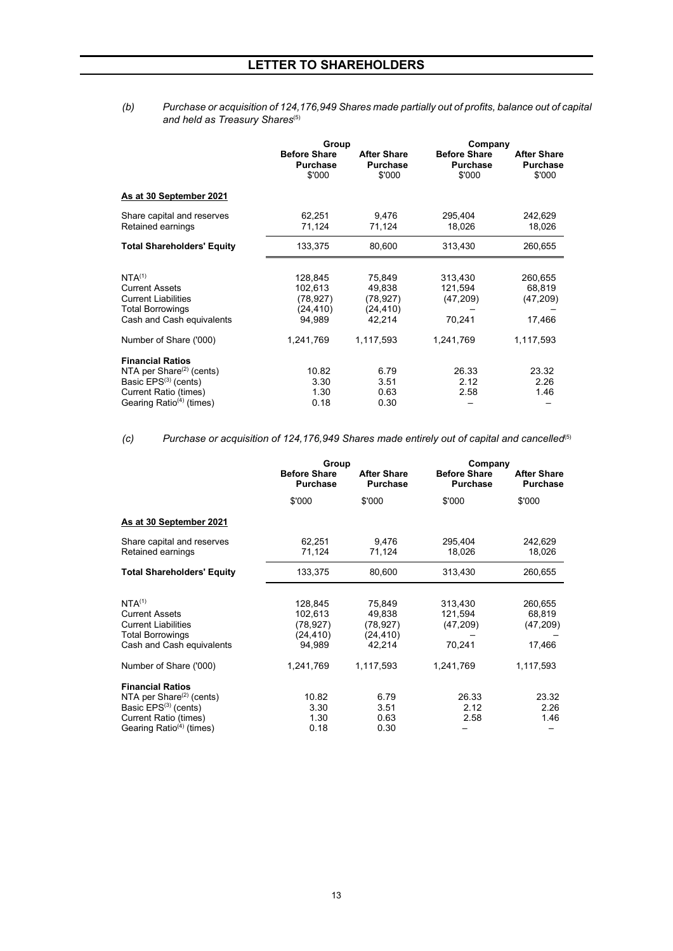#### *(b) Purchase or acquisition of 124,176,949 Shares made partially out of profits, balance out of capital and held as Treasury Shares*(5)

|                                                 | Group                                            |                                                 | Company                                          |                                                 |  |
|-------------------------------------------------|--------------------------------------------------|-------------------------------------------------|--------------------------------------------------|-------------------------------------------------|--|
|                                                 | <b>Before Share</b><br><b>Purchase</b><br>\$'000 | <b>After Share</b><br><b>Purchase</b><br>\$'000 | <b>Before Share</b><br><b>Purchase</b><br>\$'000 | <b>After Share</b><br><b>Purchase</b><br>\$'000 |  |
| As at 30 September 2021                         |                                                  |                                                 |                                                  |                                                 |  |
| Share capital and reserves<br>Retained earnings | 62,251<br>71,124                                 | 9,476<br>71,124                                 | 295,404<br>18,026                                | 242,629<br>18,026                               |  |
| <b>Total Shareholders' Equity</b>               | 133,375                                          | 80,600                                          | 313,430                                          | 260,655                                         |  |
|                                                 |                                                  |                                                 |                                                  |                                                 |  |
| NTA <sup>(1)</sup>                              | 128,845                                          | 75,849                                          | 313,430                                          | 260,655                                         |  |
| <b>Current Assets</b>                           | 102,613                                          | 49,838                                          | 121,594                                          | 68,819                                          |  |
| <b>Current Liabilities</b>                      | (78, 927)                                        | (78, 927)                                       | (47, 209)                                        | (47, 209)                                       |  |
| <b>Total Borrowings</b>                         | (24, 410)                                        | (24, 410)                                       |                                                  |                                                 |  |
| Cash and Cash equivalents                       | 94.989                                           | 42,214                                          | 70,241                                           | 17,466                                          |  |
| Number of Share ('000)                          | 1,241,769                                        | 1,117,593                                       | 1,241,769                                        | 1,117,593                                       |  |
| <b>Financial Ratios</b>                         |                                                  |                                                 |                                                  |                                                 |  |
| NTA per Share <sup>(2)</sup> (cents)            | 10.82                                            | 6.79                                            | 26.33                                            | 23.32                                           |  |
| Basic EPS <sup>(3)</sup> (cents)                | 3.30                                             | 3.51                                            | 2.12                                             | 2.26                                            |  |
| <b>Current Ratio (times)</b>                    | 1.30                                             | 0.63                                            | 2.58                                             | 1.46                                            |  |
| Gearing Ratio <sup>(4)</sup> (times)            | 0.18                                             | 0.30                                            |                                                  |                                                 |  |
|                                                 |                                                  |                                                 |                                                  |                                                 |  |

*(c) Purchase or acquisition of 124,176,949 Shares made entirely out of capital and cancelled*(5)

|                                                                                                                                                                    | Group                                                  |                                                      | Company                                   |                                          |
|--------------------------------------------------------------------------------------------------------------------------------------------------------------------|--------------------------------------------------------|------------------------------------------------------|-------------------------------------------|------------------------------------------|
|                                                                                                                                                                    | <b>Before Share</b><br><b>Purchase</b>                 | <b>After Share</b><br><b>Purchase</b>                | <b>Before Share</b><br><b>Purchase</b>    | <b>After Share</b><br><b>Purchase</b>    |
|                                                                                                                                                                    | \$'000                                                 | \$'000                                               | \$'000                                    | \$'000                                   |
| As at 30 September 2021                                                                                                                                            |                                                        |                                                      |                                           |                                          |
| Share capital and reserves<br>Retained earnings                                                                                                                    | 62,251<br>71,124                                       | 9,476<br>71,124                                      | 295,404<br>18,026                         | 242,629<br>18,026                        |
| <b>Total Shareholders' Equity</b>                                                                                                                                  | 133,375                                                | 80,600                                               | 313,430                                   | 260,655                                  |
| NTA <sup>(1)</sup><br><b>Current Assets</b><br><b>Current Liabilities</b><br><b>Total Borrowings</b><br>Cash and Cash equivalents                                  | 128,845<br>102,613<br>(78, 927)<br>(24, 410)<br>94,989 | 75,849<br>49,838<br>(78, 927)<br>(24, 410)<br>42.214 | 313,430<br>121,594<br>(47, 209)<br>70,241 | 260,655<br>68,819<br>(47, 209)<br>17,466 |
| Number of Share ('000)                                                                                                                                             | 1,241,769                                              | 1,117,593                                            | 1,241,769                                 | 1,117,593                                |
| <b>Financial Ratios</b><br>NTA per Share $(2)$ (cents)<br>Basic EPS <sup>(3)</sup> (cents)<br><b>Current Ratio (times)</b><br>Gearing Ratio <sup>(4)</sup> (times) | 10.82<br>3.30<br>1.30<br>0.18                          | 6.79<br>3.51<br>0.63<br>0.30                         | 26.33<br>2.12<br>2.58                     | 23.32<br>2.26<br>1.46                    |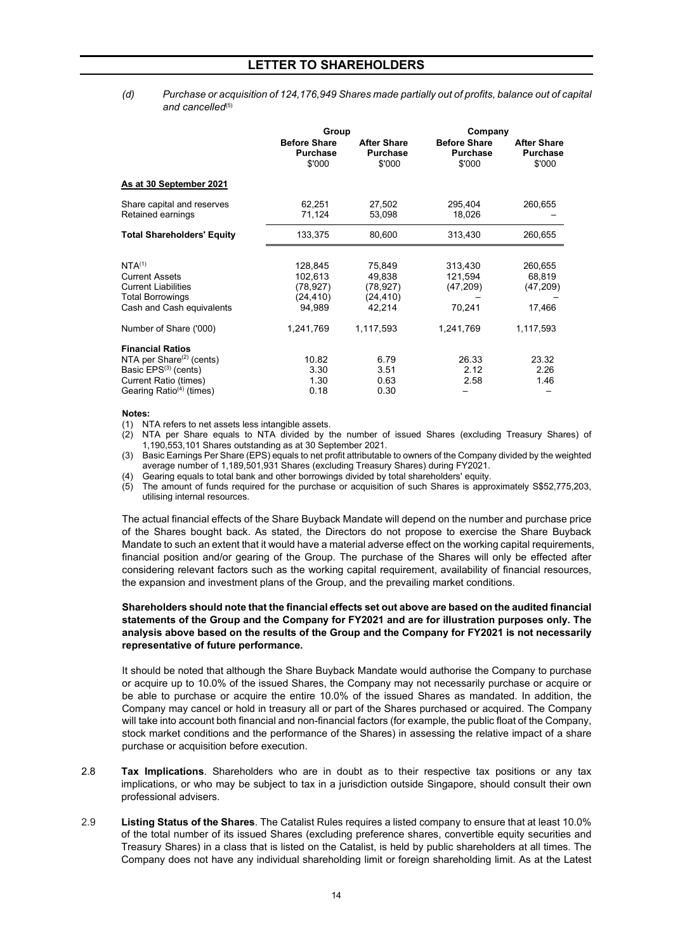*(d) Purchase or acquisition of 124,176,949 Shares made partially out of profits, balance out of capital*  and cancelled<sup>(5)</sup>

|                                                 | Group                                            |                                                 | Company                                          |                                                 |  |  |
|-------------------------------------------------|--------------------------------------------------|-------------------------------------------------|--------------------------------------------------|-------------------------------------------------|--|--|
|                                                 | <b>Before Share</b><br><b>Purchase</b><br>\$'000 | <b>After Share</b><br><b>Purchase</b><br>\$'000 | <b>Before Share</b><br><b>Purchase</b><br>\$'000 | <b>After Share</b><br><b>Purchase</b><br>\$'000 |  |  |
| As at 30 September 2021                         |                                                  |                                                 |                                                  |                                                 |  |  |
| Share capital and reserves<br>Retained earnings | 62,251<br>71,124                                 | 27,502<br>53,098                                | 295,404<br>18,026                                | 260,655                                         |  |  |
| <b>Total Shareholders' Equity</b>               | 133,375                                          | 80,600                                          | 313,430                                          | 260,655                                         |  |  |
|                                                 |                                                  |                                                 |                                                  |                                                 |  |  |
| NTA <sup>(1)</sup>                              | 128,845                                          | 75,849                                          | 313,430                                          | 260,655                                         |  |  |
| <b>Current Assets</b>                           | 102,613                                          | 49,838                                          | 121,594                                          | 68,819                                          |  |  |
| <b>Current Liabilities</b>                      | (78, 927)                                        | (78, 927)                                       | (47, 209)                                        | (47, 209)                                       |  |  |
| <b>Total Borrowings</b>                         | (24, 410)                                        | (24, 410)                                       |                                                  |                                                 |  |  |
| Cash and Cash equivalents                       | 94,989                                           | 42,214                                          | 70,241                                           | 17,466                                          |  |  |
| Number of Share ('000)                          | 1,241,769                                        | 1,117,593                                       | 1,241,769                                        | 1,117,593                                       |  |  |
| <b>Financial Ratios</b>                         |                                                  |                                                 |                                                  |                                                 |  |  |
| NTA per Share $(2)$ (cents)                     | 10.82                                            | 6.79                                            | 26.33                                            | 23.32                                           |  |  |
| Basic EPS <sup>(3)</sup> (cents)                | 3.30                                             | 3.51                                            | 2.12                                             | 2.26                                            |  |  |
| <b>Current Ratio (times)</b>                    | 1.30                                             | 0.63                                            | 2.58                                             | 1.46                                            |  |  |
| Gearing Ratio <sup>(4)</sup> (times)            | 0.18                                             | 0.30                                            |                                                  |                                                 |  |  |

#### **Notes:**

(1) NTA refers to net assets less intangible assets.<br>(2) NTA per Share equals to NTA divided by t

NTA per Share equals to NTA divided by the number of issued Shares (excluding Treasury Shares) of 1,190,553,101 Shares outstanding as at 30 September 2021.

(3) Basic Earnings Per Share (EPS) equals to net profit attributable to owners of the Company divided by the weighted average number of 1,189,501,931 Shares (excluding Treasury Shares) during FY2021.

Gearing equals to total bank and other borrowings divided by total shareholders' equity.

(5) The amount of funds required for the purchase or acquisition of such Shares is approximately S\$52,775,203, utilising internal resources.

The actual financial effects of the Share Buyback Mandate will depend on the number and purchase price of the Shares bought back. As stated, the Directors do not propose to exercise the Share Buyback Mandate to such an extent that it would have a material adverse effect on the working capital requirements, financial position and/or gearing of the Group. The purchase of the Shares will only be effected after considering relevant factors such as the working capital requirement, availability of financial resources, the expansion and investment plans of the Group, and the prevailing market conditions.

#### **Shareholders should note that the financial effects set out above are based on the audited financial statements of the Group and the Company for FY2021 and are for illustration purposes only. The analysis above based on the results of the Group and the Company for FY2021 is not necessarily representative of future performance.**

It should be noted that although the Share Buyback Mandate would authorise the Company to purchase or acquire up to 10.0% of the issued Shares, the Company may not necessarily purchase or acquire or be able to purchase or acquire the entire 10.0% of the issued Shares as mandated. In addition, the Company may cancel or hold in treasury all or part of the Shares purchased or acquired. The Company will take into account both financial and non-financial factors (for example, the public float of the Company, stock market conditions and the performance of the Shares) in assessing the relative impact of a share purchase or acquisition before execution.

- 2.8 **Tax Implications**. Shareholders who are in doubt as to their respective tax positions or any tax implications, or who may be subject to tax in a jurisdiction outside Singapore, should consult their own professional advisers.
- 2.9 **Listing Status of the Shares**. The Catalist Rules requires a listed company to ensure that at least 10.0% of the total number of its issued Shares (excluding preference shares, convertible equity securities and Treasury Shares) in a class that is listed on the Catalist, is held by public shareholders at all times. The Company does not have any individual shareholding limit or foreign shareholding limit. As at the Latest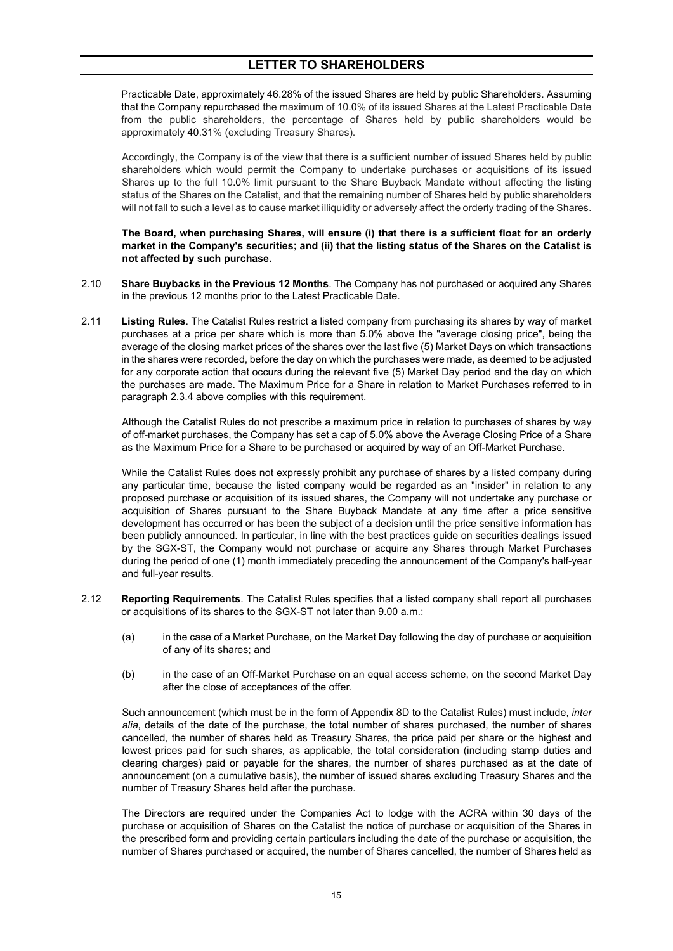Practicable Date, approximately 46.28% of the issued Shares are held by public Shareholders. Assuming that the Company repurchased the maximum of 10.0% of its issued Shares at the Latest Practicable Date from the public shareholders, the percentage of Shares held by public shareholders would be approximately 40.31% (excluding Treasury Shares).

Accordingly, the Company is of the view that there is a sufficient number of issued Shares held by public shareholders which would permit the Company to undertake purchases or acquisitions of its issued Shares up to the full 10.0% limit pursuant to the Share Buyback Mandate without affecting the listing status of the Shares on the Catalist, and that the remaining number of Shares held by public shareholders will not fall to such a level as to cause market illiquidity or adversely affect the orderly trading of the Shares.

#### **The Board, when purchasing Shares, will ensure (i) that there is a sufficient float for an orderly market in the Company's securities; and (ii) that the listing status of the Shares on the Catalist is not affected by such purchase.**

- 2.10 **Share Buybacks in the Previous 12 Months**. The Company has not purchased or acquired any Shares in the previous 12 months prior to the Latest Practicable Date.
- 2.11 **Listing Rules**. The Catalist Rules restrict a listed company from purchasing its shares by way of market purchases at a price per share which is more than 5.0% above the "average closing price", being the average of the closing market prices of the shares over the last five (5) Market Days on which transactions in the shares were recorded, before the day on which the purchases were made, as deemed to be adjusted for any corporate action that occurs during the relevant five (5) Market Day period and the day on which the purchases are made. The Maximum Price for a Share in relation to Market Purchases referred to in paragraph 2.3.4 above complies with this requirement.

Although the Catalist Rules do not prescribe a maximum price in relation to purchases of shares by way of off-market purchases, the Company has set a cap of 5.0% above the Average Closing Price of a Share as the Maximum Price for a Share to be purchased or acquired by way of an Off-Market Purchase.

While the Catalist Rules does not expressly prohibit any purchase of shares by a listed company during any particular time, because the listed company would be regarded as an "insider" in relation to any proposed purchase or acquisition of its issued shares, the Company will not undertake any purchase or acquisition of Shares pursuant to the Share Buyback Mandate at any time after a price sensitive development has occurred or has been the subject of a decision until the price sensitive information has been publicly announced. In particular, in line with the best practices guide on securities dealings issued by the SGX-ST, the Company would not purchase or acquire any Shares through Market Purchases during the period of one (1) month immediately preceding the announcement of the Company's half-year and full-year results.

- 2.12 **Reporting Requirements**. The Catalist Rules specifies that a listed company shall report all purchases or acquisitions of its shares to the SGX-ST not later than 9.00 a.m.:
	- (a) in the case of a Market Purchase, on the Market Day following the day of purchase or acquisition of any of its shares; and
	- (b) in the case of an Off-Market Purchase on an equal access scheme, on the second Market Day after the close of acceptances of the offer.

Such announcement (which must be in the form of Appendix 8D to the Catalist Rules) must include, *inter alia*, details of the date of the purchase, the total number of shares purchased, the number of shares cancelled, the number of shares held as Treasury Shares, the price paid per share or the highest and lowest prices paid for such shares, as applicable, the total consideration (including stamp duties and clearing charges) paid or payable for the shares, the number of shares purchased as at the date of announcement (on a cumulative basis), the number of issued shares excluding Treasury Shares and the number of Treasury Shares held after the purchase.

The Directors are required under the Companies Act to lodge with the ACRA within 30 days of the purchase or acquisition of Shares on the Catalist the notice of purchase or acquisition of the Shares in the prescribed form and providing certain particulars including the date of the purchase or acquisition, the number of Shares purchased or acquired, the number of Shares cancelled, the number of Shares held as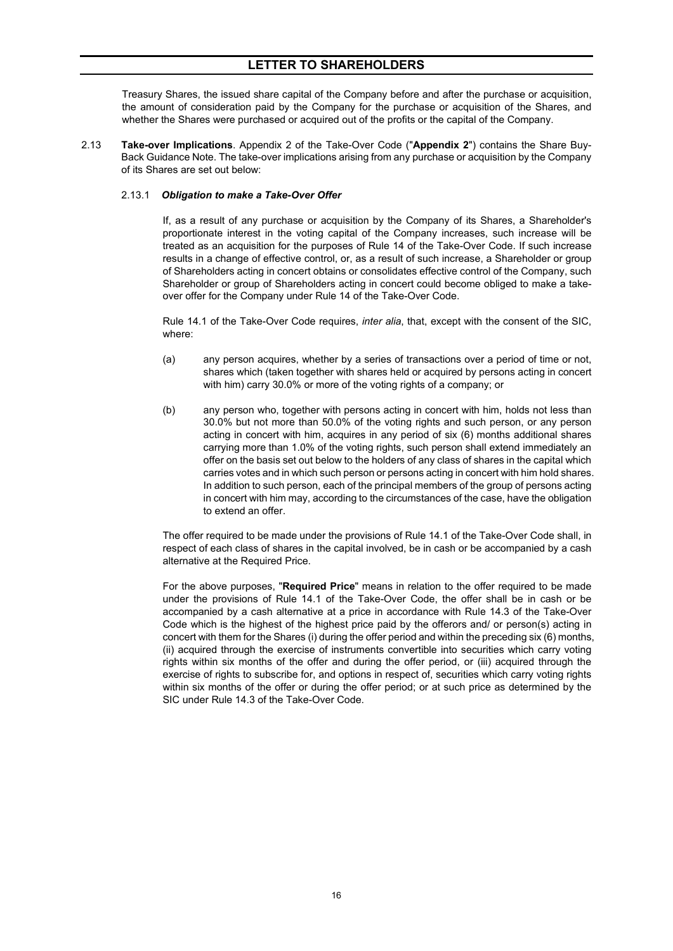Treasury Shares, the issued share capital of the Company before and after the purchase or acquisition, the amount of consideration paid by the Company for the purchase or acquisition of the Shares, and whether the Shares were purchased or acquired out of the profits or the capital of the Company.

2.13 **Take-over Implications**. Appendix 2 of the Take-Over Code ("**Appendix 2**") contains the Share Buy-Back Guidance Note. The take-over implications arising from any purchase or acquisition by the Company of its Shares are set out below:

#### 2.13.1 *Obligation to make a Take-Over Offer*

If, as a result of any purchase or acquisition by the Company of its Shares, a Shareholder's proportionate interest in the voting capital of the Company increases, such increase will be treated as an acquisition for the purposes of Rule 14 of the Take-Over Code. If such increase results in a change of effective control, or, as a result of such increase, a Shareholder or group of Shareholders acting in concert obtains or consolidates effective control of the Company, such Shareholder or group of Shareholders acting in concert could become obliged to make a takeover offer for the Company under Rule 14 of the Take-Over Code.

Rule 14.1 of the Take-Over Code requires, *inter alia*, that, except with the consent of the SIC, where:

- (a) any person acquires, whether by a series of transactions over a period of time or not, shares which (taken together with shares held or acquired by persons acting in concert with him) carry 30.0% or more of the voting rights of a company; or
- (b) any person who, together with persons acting in concert with him, holds not less than 30.0% but not more than 50.0% of the voting rights and such person, or any person acting in concert with him, acquires in any period of six (6) months additional shares carrying more than 1.0% of the voting rights, such person shall extend immediately an offer on the basis set out below to the holders of any class of shares in the capital which carries votes and in which such person or persons acting in concert with him hold shares. In addition to such person, each of the principal members of the group of persons acting in concert with him may, according to the circumstances of the case, have the obligation to extend an offer.

The offer required to be made under the provisions of Rule 14.1 of the Take-Over Code shall, in respect of each class of shares in the capital involved, be in cash or be accompanied by a cash alternative at the Required Price.

For the above purposes, "**Required Price**" means in relation to the offer required to be made under the provisions of Rule 14.1 of the Take-Over Code, the offer shall be in cash or be accompanied by a cash alternative at a price in accordance with Rule 14.3 of the Take-Over Code which is the highest of the highest price paid by the offerors and/ or person(s) acting in concert with them for the Shares (i) during the offer period and within the preceding six (6) months, (ii) acquired through the exercise of instruments convertible into securities which carry voting rights within six months of the offer and during the offer period, or (iii) acquired through the exercise of rights to subscribe for, and options in respect of, securities which carry voting rights within six months of the offer or during the offer period; or at such price as determined by the SIC under Rule 14.3 of the Take-Over Code.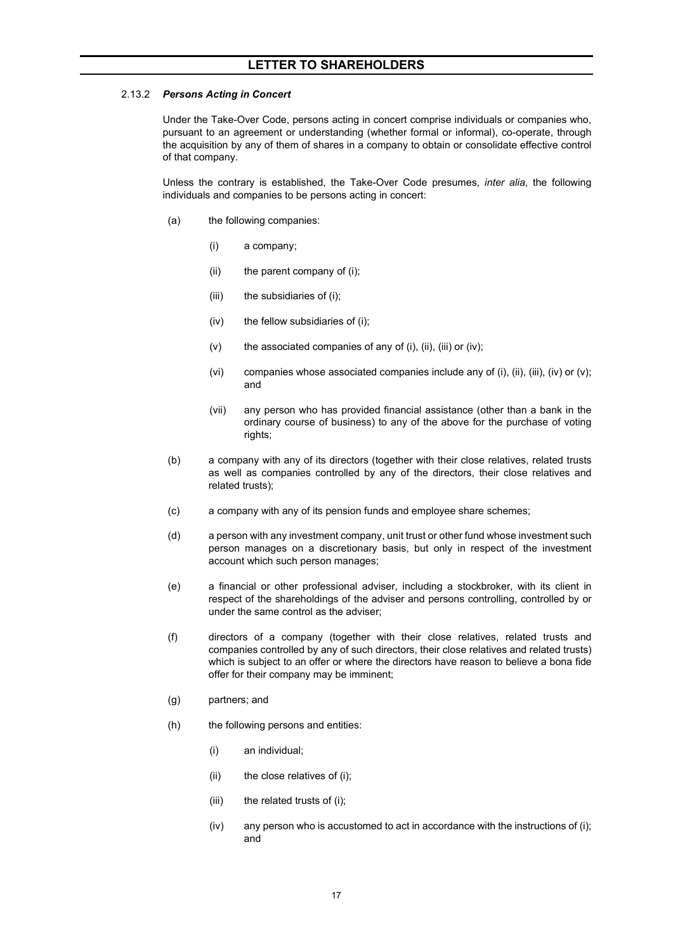#### 2.13.2 *Persons Acting in Concert*

Under the Take-Over Code, persons acting in concert comprise individuals or companies who, pursuant to an agreement or understanding (whether formal or informal), co-operate, through the acquisition by any of them of shares in a company to obtain or consolidate effective control of that company.

Unless the contrary is established, the Take-Over Code presumes, *inter alia*, the following individuals and companies to be persons acting in concert:

- (a) the following companies:
	- (i) a company;
	- (ii) the parent company of (i);
	- (iii) the subsidiaries of (i);
	- (iv) the fellow subsidiaries of (i);
	- $(v)$  the associated companies of any of (i), (ii), (iii) or (iv);
	- (vi) companies whose associated companies include any of (i), (ii), (iii), (iv) or (v); and
	- (vii) any person who has provided financial assistance (other than a bank in the ordinary course of business) to any of the above for the purchase of voting rights;
- (b) a company with any of its directors (together with their close relatives, related trusts as well as companies controlled by any of the directors, their close relatives and related trusts);
- (c) a company with any of its pension funds and employee share schemes;
- (d) a person with any investment company, unit trust or other fund whose investment such person manages on a discretionary basis, but only in respect of the investment account which such person manages;
- (e) a financial or other professional adviser, including a stockbroker, with its client in respect of the shareholdings of the adviser and persons controlling, controlled by or under the same control as the adviser;
- (f) directors of a company (together with their close relatives, related trusts and companies controlled by any of such directors, their close relatives and related trusts) which is subject to an offer or where the directors have reason to believe a bona fide offer for their company may be imminent;
- (g) partners; and
- (h) the following persons and entities:
	- (i) an individual;
	- (ii) the close relatives of (i);
	- (iii) the related trusts of (i);
	- (iv) any person who is accustomed to act in accordance with the instructions of (i); and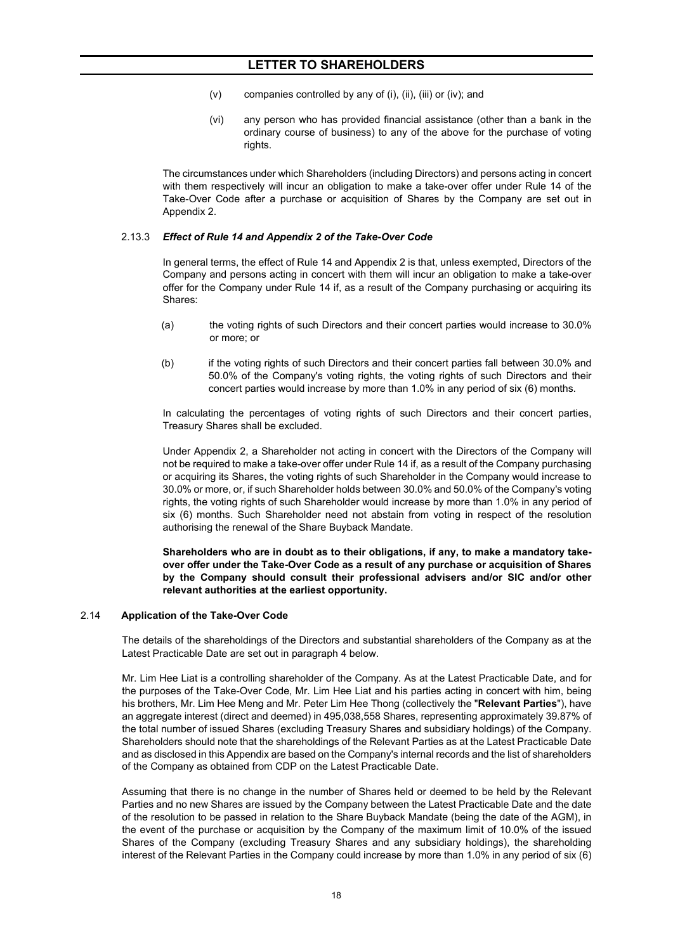- (v) companies controlled by any of (i), (ii), (iii) or (iv); and
- (vi) any person who has provided financial assistance (other than a bank in the ordinary course of business) to any of the above for the purchase of voting rights.

The circumstances under which Shareholders (including Directors) and persons acting in concert with them respectively will incur an obligation to make a take-over offer under Rule 14 of the Take-Over Code after a purchase or acquisition of Shares by the Company are set out in Appendix 2.

#### 2.13.3 *Effect of Rule 14 and Appendix 2 of the Take-Over Code*

In general terms, the effect of Rule 14 and Appendix 2 is that, unless exempted, Directors of the Company and persons acting in concert with them will incur an obligation to make a take-over offer for the Company under Rule 14 if, as a result of the Company purchasing or acquiring its Shares:

- (a) the voting rights of such Directors and their concert parties would increase to 30.0% or more; or
- (b) if the voting rights of such Directors and their concert parties fall between 30.0% and 50.0% of the Company's voting rights, the voting rights of such Directors and their concert parties would increase by more than 1.0% in any period of six (6) months.

In calculating the percentages of voting rights of such Directors and their concert parties, Treasury Shares shall be excluded.

Under Appendix 2, a Shareholder not acting in concert with the Directors of the Company will not be required to make a take-over offer under Rule 14 if, as a result of the Company purchasing or acquiring its Shares, the voting rights of such Shareholder in the Company would increase to 30.0% or more, or, if such Shareholder holds between 30.0% and 50.0% of the Company's voting rights, the voting rights of such Shareholder would increase by more than 1.0% in any period of six (6) months. Such Shareholder need not abstain from voting in respect of the resolution authorising the renewal of the Share Buyback Mandate.

**Shareholders who are in doubt as to their obligations, if any, to make a mandatory takeover offer under the Take-Over Code as a result of any purchase or acquisition of Shares by the Company should consult their professional advisers and/or SIC and/or other relevant authorities at the earliest opportunity.**

#### 2.14 **Application of the Take-Over Code**

The details of the shareholdings of the Directors and substantial shareholders of the Company as at the Latest Practicable Date are set out in paragraph 4 below.

Mr. Lim Hee Liat is a controlling shareholder of the Company. As at the Latest Practicable Date, and for the purposes of the Take-Over Code, Mr. Lim Hee Liat and his parties acting in concert with him, being his brothers, Mr. Lim Hee Meng and Mr. Peter Lim Hee Thong (collectively the "**Relevant Parties**"), have an aggregate interest (direct and deemed) in 495,038,558 Shares, representing approximately 39.87% of the total number of issued Shares (excluding Treasury Shares and subsidiary holdings) of the Company. Shareholders should note that the shareholdings of the Relevant Parties as at the Latest Practicable Date and as disclosed in this Appendix are based on the Company's internal records and the list of shareholders of the Company as obtained from CDP on the Latest Practicable Date.

Assuming that there is no change in the number of Shares held or deemed to be held by the Relevant Parties and no new Shares are issued by the Company between the Latest Practicable Date and the date of the resolution to be passed in relation to the Share Buyback Mandate (being the date of the AGM), in the event of the purchase or acquisition by the Company of the maximum limit of 10.0% of the issued Shares of the Company (excluding Treasury Shares and any subsidiary holdings), the shareholding interest of the Relevant Parties in the Company could increase by more than 1.0% in any period of six (6)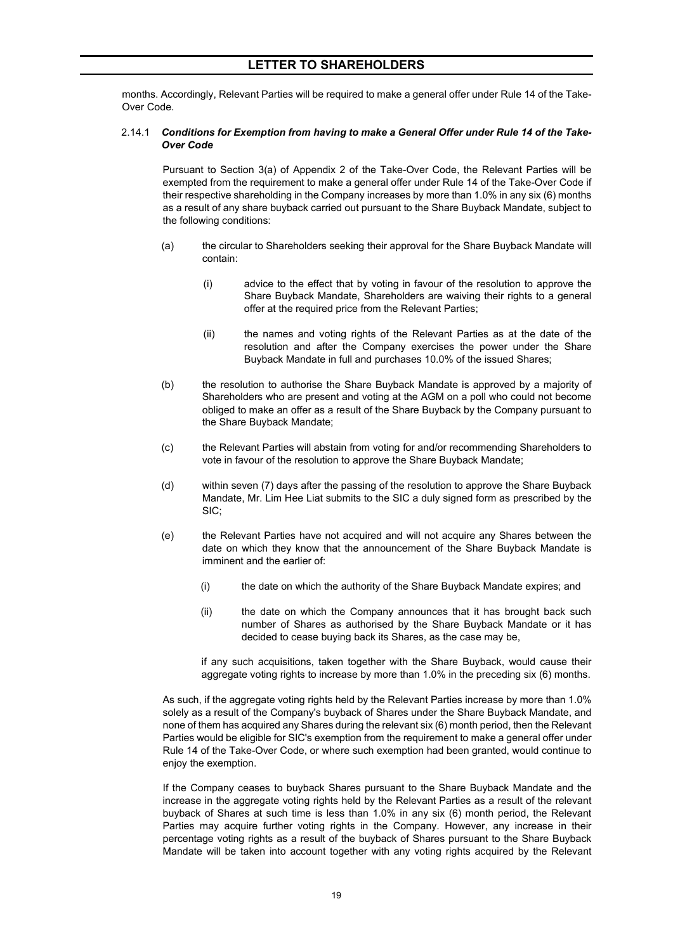months. Accordingly, Relevant Parties will be required to make a general offer under Rule 14 of the Take-Over Code.

#### 2.14.1 *Conditions for Exemption from having to make a General Offer under Rule 14 of the Take-Over Code*

Pursuant to Section 3(a) of Appendix 2 of the Take-Over Code, the Relevant Parties will be exempted from the requirement to make a general offer under Rule 14 of the Take-Over Code if their respective shareholding in the Company increases by more than 1.0% in any six (6) months as a result of any share buyback carried out pursuant to the Share Buyback Mandate, subject to the following conditions:

- (a) the circular to Shareholders seeking their approval for the Share Buyback Mandate will contain:
	- (i) advice to the effect that by voting in favour of the resolution to approve the Share Buyback Mandate, Shareholders are waiving their rights to a general offer at the required price from the Relevant Parties;
	- (ii) the names and voting rights of the Relevant Parties as at the date of the resolution and after the Company exercises the power under the Share Buyback Mandate in full and purchases 10.0% of the issued Shares;
- (b) the resolution to authorise the Share Buyback Mandate is approved by a majority of Shareholders who are present and voting at the AGM on a poll who could not become obliged to make an offer as a result of the Share Buyback by the Company pursuant to the Share Buyback Mandate;
- (c) the Relevant Parties will abstain from voting for and/or recommending Shareholders to vote in favour of the resolution to approve the Share Buyback Mandate;
- (d) within seven (7) days after the passing of the resolution to approve the Share Buyback Mandate, Mr. Lim Hee Liat submits to the SIC a duly signed form as prescribed by the SIC;
- (e) the Relevant Parties have not acquired and will not acquire any Shares between the date on which they know that the announcement of the Share Buyback Mandate is imminent and the earlier of:
	- (i) the date on which the authority of the Share Buyback Mandate expires; and
	- (ii) the date on which the Company announces that it has brought back such number of Shares as authorised by the Share Buyback Mandate or it has decided to cease buying back its Shares, as the case may be,

if any such acquisitions, taken together with the Share Buyback, would cause their aggregate voting rights to increase by more than 1.0% in the preceding six (6) months.

As such, if the aggregate voting rights held by the Relevant Parties increase by more than 1.0% solely as a result of the Company's buyback of Shares under the Share Buyback Mandate, and none of them has acquired any Shares during the relevant six (6) month period, then the Relevant Parties would be eligible for SIC's exemption from the requirement to make a general offer under Rule 14 of the Take-Over Code, or where such exemption had been granted, would continue to enjoy the exemption.

If the Company ceases to buyback Shares pursuant to the Share Buyback Mandate and the increase in the aggregate voting rights held by the Relevant Parties as a result of the relevant buyback of Shares at such time is less than 1.0% in any six (6) month period, the Relevant Parties may acquire further voting rights in the Company. However, any increase in their percentage voting rights as a result of the buyback of Shares pursuant to the Share Buyback Mandate will be taken into account together with any voting rights acquired by the Relevant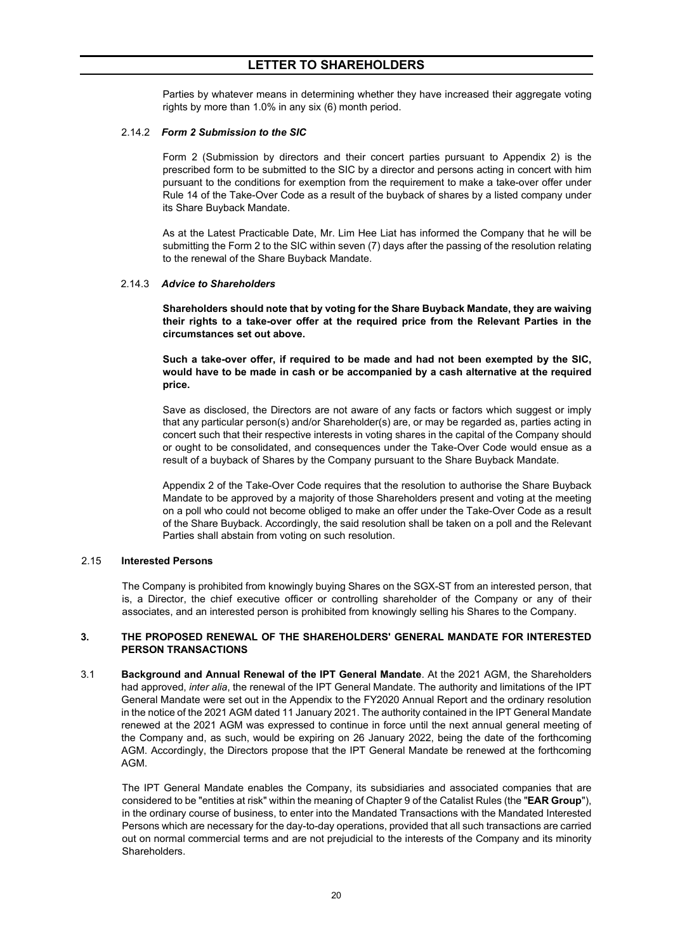Parties by whatever means in determining whether they have increased their aggregate voting rights by more than 1.0% in any six (6) month period.

#### 2.14.2 *Form 2 Submission to the SIC*

Form 2 (Submission by directors and their concert parties pursuant to Appendix 2) is the prescribed form to be submitted to the SIC by a director and persons acting in concert with him pursuant to the conditions for exemption from the requirement to make a take-over offer under Rule 14 of the Take-Over Code as a result of the buyback of shares by a listed company under its Share Buyback Mandate.

As at the Latest Practicable Date, Mr. Lim Hee Liat has informed the Company that he will be submitting the Form 2 to the SIC within seven (7) days after the passing of the resolution relating to the renewal of the Share Buyback Mandate.

#### 2.14.3 *Advice to Shareholders*

**Shareholders should note that by voting for the Share Buyback Mandate, they are waiving their rights to a take-over offer at the required price from the Relevant Parties in the circumstances set out above.**

**Such a take-over offer, if required to be made and had not been exempted by the SIC, would have to be made in cash or be accompanied by a cash alternative at the required price.**

Save as disclosed, the Directors are not aware of any facts or factors which suggest or imply that any particular person(s) and/or Shareholder(s) are, or may be regarded as, parties acting in concert such that their respective interests in voting shares in the capital of the Company should or ought to be consolidated, and consequences under the Take-Over Code would ensue as a result of a buyback of Shares by the Company pursuant to the Share Buyback Mandate.

Appendix 2 of the Take-Over Code requires that the resolution to authorise the Share Buyback Mandate to be approved by a majority of those Shareholders present and voting at the meeting on a poll who could not become obliged to make an offer under the Take-Over Code as a result of the Share Buyback. Accordingly, the said resolution shall be taken on a poll and the Relevant Parties shall abstain from voting on such resolution.

#### 2.15 **Interested Persons**

The Company is prohibited from knowingly buying Shares on the SGX-ST from an interested person, that is, a Director, the chief executive officer or controlling shareholder of the Company or any of their associates, and an interested person is prohibited from knowingly selling his Shares to the Company.

#### <span id="page-19-0"></span>**3. THE PROPOSED RENEWAL OF THE SHAREHOLDERS' GENERAL MANDATE FOR INTERESTED PERSON TRANSACTIONS**

3.1 **Background and Annual Renewal of the IPT General Mandate**. At the 2021 AGM, the Shareholders had approved, *inter alia*, the renewal of the IPT General Mandate. The authority and limitations of the IPT General Mandate were set out in the Appendix to the FY2020 Annual Report and the ordinary resolution in the notice of the 2021 AGM dated 11 January 2021. The authority contained in the IPT General Mandate renewed at the 2021 AGM was expressed to continue in force until the next annual general meeting of the Company and, as such, would be expiring on 26 January 2022, being the date of the forthcoming AGM. Accordingly, the Directors propose that the IPT General Mandate be renewed at the forthcoming AGM.

The IPT General Mandate enables the Company, its subsidiaries and associated companies that are considered to be "entities at risk" within the meaning of Chapter 9 of the Catalist Rules (the "**EAR Group**"), in the ordinary course of business, to enter into the Mandated Transactions with the Mandated Interested Persons which are necessary for the day-to-day operations, provided that all such transactions are carried out on normal commercial terms and are not prejudicial to the interests of the Company and its minority Shareholders.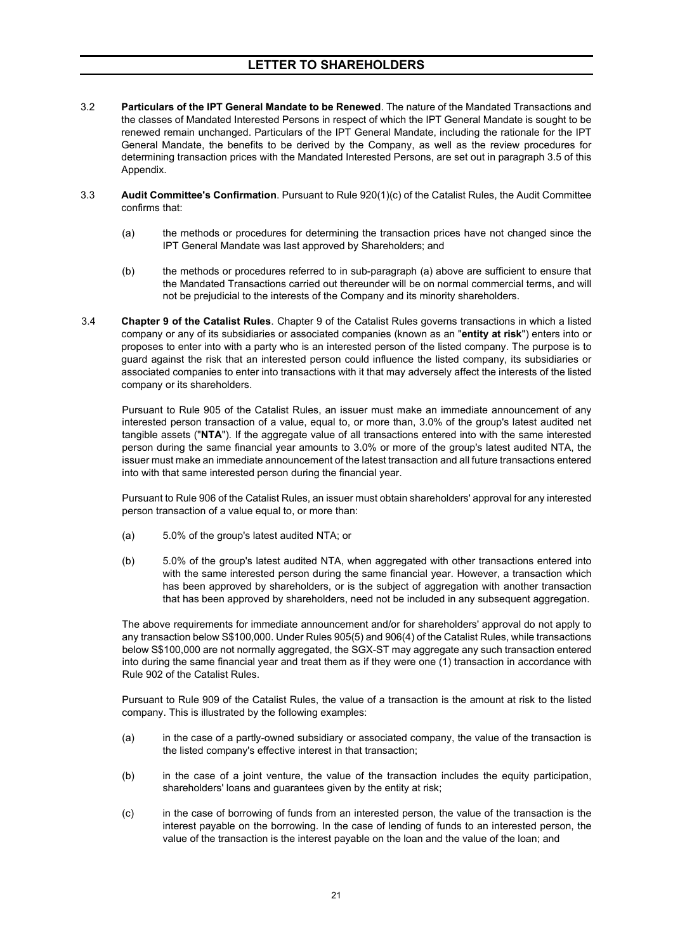- 3.2 **Particulars of the IPT General Mandate to be Renewed**. The nature of the Mandated Transactions and the classes of Mandated Interested Persons in respect of which the IPT General Mandate is sought to be renewed remain unchanged. Particulars of the IPT General Mandate, including the rationale for the IPT General Mandate, the benefits to be derived by the Company, as well as the review procedures for determining transaction prices with the Mandated Interested Persons, are set out in paragraph 3.5 of this Appendix.
- 3.3 **Audit Committee's Confirmation**. Pursuant to Rule 920(1)(c) of the Catalist Rules, the Audit Committee confirms that:
	- (a) the methods or procedures for determining the transaction prices have not changed since the IPT General Mandate was last approved by Shareholders; and
	- (b) the methods or procedures referred to in sub-paragraph (a) above are sufficient to ensure that the Mandated Transactions carried out thereunder will be on normal commercial terms, and will not be prejudicial to the interests of the Company and its minority shareholders.
- 3.4 **Chapter 9 of the Catalist Rules**. Chapter 9 of the Catalist Rules governs transactions in which a listed company or any of its subsidiaries or associated companies (known as an "**entity at risk**") enters into or proposes to enter into with a party who is an interested person of the listed company. The purpose is to guard against the risk that an interested person could influence the listed company, its subsidiaries or associated companies to enter into transactions with it that may adversely affect the interests of the listed company or its shareholders.

Pursuant to Rule 905 of the Catalist Rules, an issuer must make an immediate announcement of any interested person transaction of a value, equal to, or more than, 3.0% of the group's latest audited net tangible assets ("**NTA**"). If the aggregate value of all transactions entered into with the same interested person during the same financial year amounts to 3.0% or more of the group's latest audited NTA, the issuer must make an immediate announcement of the latest transaction and all future transactions entered into with that same interested person during the financial year.

Pursuant to Rule 906 of the Catalist Rules, an issuer must obtain shareholders' approval for any interested person transaction of a value equal to, or more than:

- (a) 5.0% of the group's latest audited NTA; or
- (b) 5.0% of the group's latest audited NTA, when aggregated with other transactions entered into with the same interested person during the same financial year. However, a transaction which has been approved by shareholders, or is the subject of aggregation with another transaction that has been approved by shareholders, need not be included in any subsequent aggregation.

The above requirements for immediate announcement and/or for shareholders' approval do not apply to any transaction below S\$100,000. Under Rules 905(5) and 906(4) of the Catalist Rules, while transactions below S\$100,000 are not normally aggregated, the SGX-ST may aggregate any such transaction entered into during the same financial year and treat them as if they were one (1) transaction in accordance with Rule 902 of the Catalist Rules.

Pursuant to Rule 909 of the Catalist Rules, the value of a transaction is the amount at risk to the listed company. This is illustrated by the following examples:

- (a) in the case of a partly-owned subsidiary or associated company, the value of the transaction is the listed company's effective interest in that transaction;
- (b) in the case of a joint venture, the value of the transaction includes the equity participation, shareholders' loans and guarantees given by the entity at risk;
- (c) in the case of borrowing of funds from an interested person, the value of the transaction is the interest payable on the borrowing. In the case of lending of funds to an interested person, the value of the transaction is the interest payable on the loan and the value of the loan; and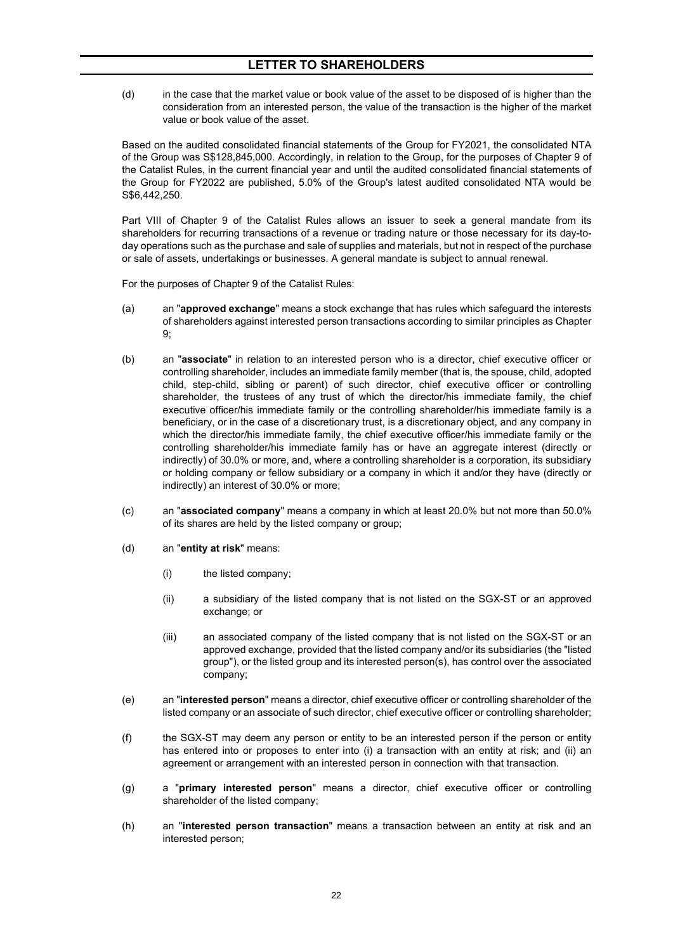(d) in the case that the market value or book value of the asset to be disposed of is higher than the consideration from an interested person, the value of the transaction is the higher of the market value or book value of the asset.

Based on the audited consolidated financial statements of the Group for FY2021, the consolidated NTA of the Group was S\$128,845,000. Accordingly, in relation to the Group, for the purposes of Chapter 9 of the Catalist Rules, in the current financial year and until the audited consolidated financial statements of the Group for FY2022 are published, 5.0% of the Group's latest audited consolidated NTA would be S\$6,442,250.

Part VIII of Chapter 9 of the Catalist Rules allows an issuer to seek a general mandate from its shareholders for recurring transactions of a revenue or trading nature or those necessary for its day-today operations such as the purchase and sale of supplies and materials, but not in respect of the purchase or sale of assets, undertakings or businesses. A general mandate is subject to annual renewal.

For the purposes of Chapter 9 of the Catalist Rules:

- (a) an "**approved exchange**" means a stock exchange that has rules which safeguard the interests of shareholders against interested person transactions according to similar principles as Chapter 9;
- (b) an "**associate**" in relation to an interested person who is a director, chief executive officer or controlling shareholder, includes an immediate family member (that is, the spouse, child, adopted child, step-child, sibling or parent) of such director, chief executive officer or controlling shareholder, the trustees of any trust of which the director/his immediate family, the chief executive officer/his immediate family or the controlling shareholder/his immediate family is a beneficiary, or in the case of a discretionary trust, is a discretionary object, and any company in which the director/his immediate family, the chief executive officer/his immediate family or the controlling shareholder/his immediate family has or have an aggregate interest (directly or indirectly) of 30.0% or more, and, where a controlling shareholder is a corporation, its subsidiary or holding company or fellow subsidiary or a company in which it and/or they have (directly or indirectly) an interest of 30.0% or more;
- (c) an "**associated company**" means a company in which at least 20.0% but not more than 50.0% of its shares are held by the listed company or group;
- (d) an "**entity at risk**" means:
	- (i) the listed company;
	- (ii) a subsidiary of the listed company that is not listed on the SGX-ST or an approved exchange; or
	- (iii) an associated company of the listed company that is not listed on the SGX-ST or an approved exchange, provided that the listed company and/or its subsidiaries (the "listed group"), or the listed group and its interested person(s), has control over the associated company;
- (e) an "**interested person**" means a director, chief executive officer or controlling shareholder of the listed company or an associate of such director, chief executive officer or controlling shareholder;
- (f) the SGX-ST may deem any person or entity to be an interested person if the person or entity has entered into or proposes to enter into (i) a transaction with an entity at risk; and (ii) an agreement or arrangement with an interested person in connection with that transaction.
- (g) a "**primary interested person**" means a director, chief executive officer or controlling shareholder of the listed company;
- (h) an "**interested person transaction**" means a transaction between an entity at risk and an interested person;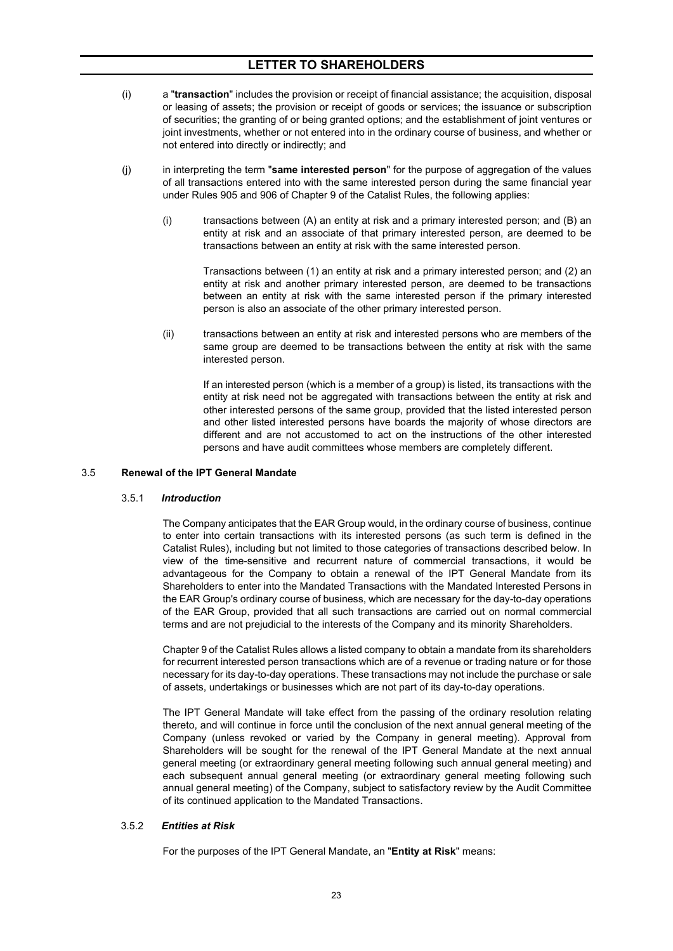- (i) a "**transaction**" includes the provision or receipt of financial assistance; the acquisition, disposal or leasing of assets; the provision or receipt of goods or services; the issuance or subscription of securities; the granting of or being granted options; and the establishment of joint ventures or joint investments, whether or not entered into in the ordinary course of business, and whether or not entered into directly or indirectly; and
- (j) in interpreting the term "**same interested person**" for the purpose of aggregation of the values of all transactions entered into with the same interested person during the same financial year under Rules 905 and 906 of Chapter 9 of the Catalist Rules, the following applies:
	- (i) transactions between (A) an entity at risk and a primary interested person; and (B) an entity at risk and an associate of that primary interested person, are deemed to be transactions between an entity at risk with the same interested person.

Transactions between (1) an entity at risk and a primary interested person; and (2) an entity at risk and another primary interested person, are deemed to be transactions between an entity at risk with the same interested person if the primary interested person is also an associate of the other primary interested person.

(ii) transactions between an entity at risk and interested persons who are members of the same group are deemed to be transactions between the entity at risk with the same interested person.

If an interested person (which is a member of a group) is listed, its transactions with the entity at risk need not be aggregated with transactions between the entity at risk and other interested persons of the same group, provided that the listed interested person and other listed interested persons have boards the majority of whose directors are different and are not accustomed to act on the instructions of the other interested persons and have audit committees whose members are completely different.

#### 3.5 **Renewal of the IPT General Mandate**

#### 3.5.1 *Introduction*

The Company anticipates that the EAR Group would, in the ordinary course of business, continue to enter into certain transactions with its interested persons (as such term is defined in the Catalist Rules), including but not limited to those categories of transactions described below. In view of the time-sensitive and recurrent nature of commercial transactions, it would be advantageous for the Company to obtain a renewal of the IPT General Mandate from its Shareholders to enter into the Mandated Transactions with the Mandated Interested Persons in the EAR Group's ordinary course of business, which are necessary for the day-to-day operations of the EAR Group, provided that all such transactions are carried out on normal commercial terms and are not prejudicial to the interests of the Company and its minority Shareholders.

Chapter 9 of the Catalist Rules allows a listed company to obtain a mandate from its shareholders for recurrent interested person transactions which are of a revenue or trading nature or for those necessary for its day-to-day operations. These transactions may not include the purchase or sale of assets, undertakings or businesses which are not part of its day-to-day operations.

The IPT General Mandate will take effect from the passing of the ordinary resolution relating thereto, and will continue in force until the conclusion of the next annual general meeting of the Company (unless revoked or varied by the Company in general meeting). Approval from Shareholders will be sought for the renewal of the IPT General Mandate at the next annual general meeting (or extraordinary general meeting following such annual general meeting) and each subsequent annual general meeting (or extraordinary general meeting following such annual general meeting) of the Company, subject to satisfactory review by the Audit Committee of its continued application to the Mandated Transactions.

#### 3.5.2 *Entities at Risk*

For the purposes of the IPT General Mandate, an "**Entity at Risk**" means: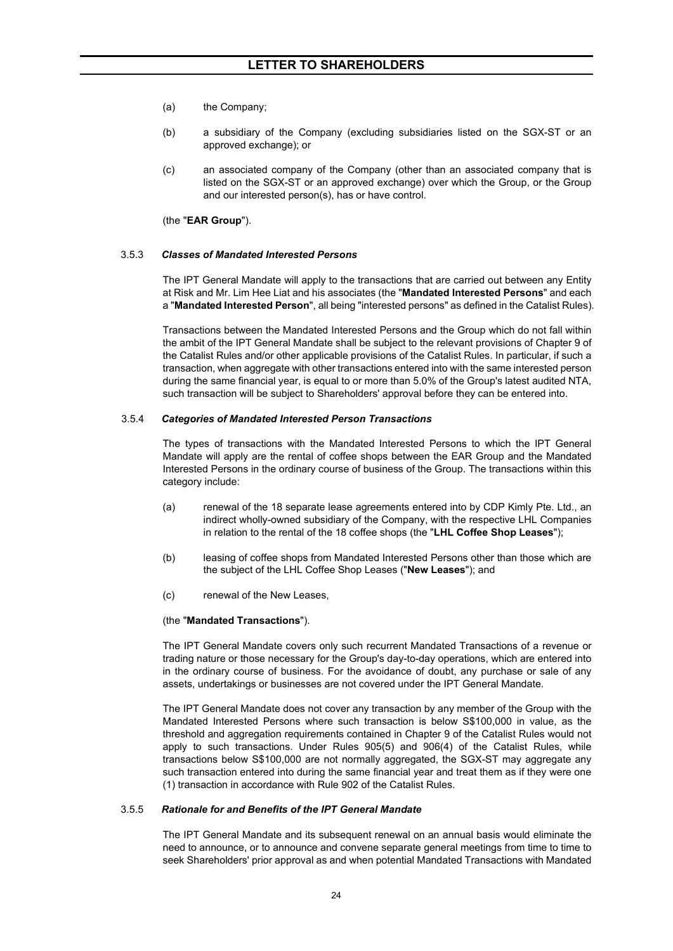- (a) the Company;
- (b) a subsidiary of the Company (excluding subsidiaries listed on the SGX-ST or an approved exchange); or
- (c) an associated company of the Company (other than an associated company that is listed on the SGX-ST or an approved exchange) over which the Group, or the Group and our interested person(s), has or have control.

(the "**EAR Group**").

#### 3.5.3 *Classes of Mandated Interested Persons*

The IPT General Mandate will apply to the transactions that are carried out between any Entity at Risk and Mr. Lim Hee Liat and his associates (the "**Mandated Interested Persons**" and each a "**Mandated Interested Person**", all being "interested persons" as defined in the Catalist Rules).

Transactions between the Mandated Interested Persons and the Group which do not fall within the ambit of the IPT General Mandate shall be subject to the relevant provisions of Chapter 9 of the Catalist Rules and/or other applicable provisions of the Catalist Rules. In particular, if such a transaction, when aggregate with other transactions entered into with the same interested person during the same financial year, is equal to or more than 5.0% of the Group's latest audited NTA, such transaction will be subject to Shareholders' approval before they can be entered into.

#### 3.5.4 *Categories of Mandated Interested Person Transactions*

The types of transactions with the Mandated Interested Persons to which the IPT General Mandate will apply are the rental of coffee shops between the EAR Group and the Mandated Interested Persons in the ordinary course of business of the Group. The transactions within this category include:

- (a) renewal of the 18 separate lease agreements entered into by CDP Kimly Pte. Ltd., an indirect wholly-owned subsidiary of the Company, with the respective LHL Companies in relation to the rental of the 18 coffee shops (the "**LHL Coffee Shop Leases**");
- (b) leasing of coffee shops from Mandated Interested Persons other than those which are the subject of the LHL Coffee Shop Leases ("**New Leases**"); and
- (c) renewal of the New Leases,

#### (the "**Mandated Transactions**").

The IPT General Mandate covers only such recurrent Mandated Transactions of a revenue or trading nature or those necessary for the Group's day-to-day operations, which are entered into in the ordinary course of business. For the avoidance of doubt, any purchase or sale of any assets, undertakings or businesses are not covered under the IPT General Mandate.

The IPT General Mandate does not cover any transaction by any member of the Group with the Mandated Interested Persons where such transaction is below S\$100,000 in value, as the threshold and aggregation requirements contained in Chapter 9 of the Catalist Rules would not apply to such transactions. Under Rules 905(5) and 906(4) of the Catalist Rules, while transactions below S\$100,000 are not normally aggregated, the SGX-ST may aggregate any such transaction entered into during the same financial year and treat them as if they were one (1) transaction in accordance with Rule 902 of the Catalist Rules.

### 3.5.5 *Rationale for and Benefits of the IPT General Mandate*

The IPT General Mandate and its subsequent renewal on an annual basis would eliminate the need to announce, or to announce and convene separate general meetings from time to time to seek Shareholders' prior approval as and when potential Mandated Transactions with Mandated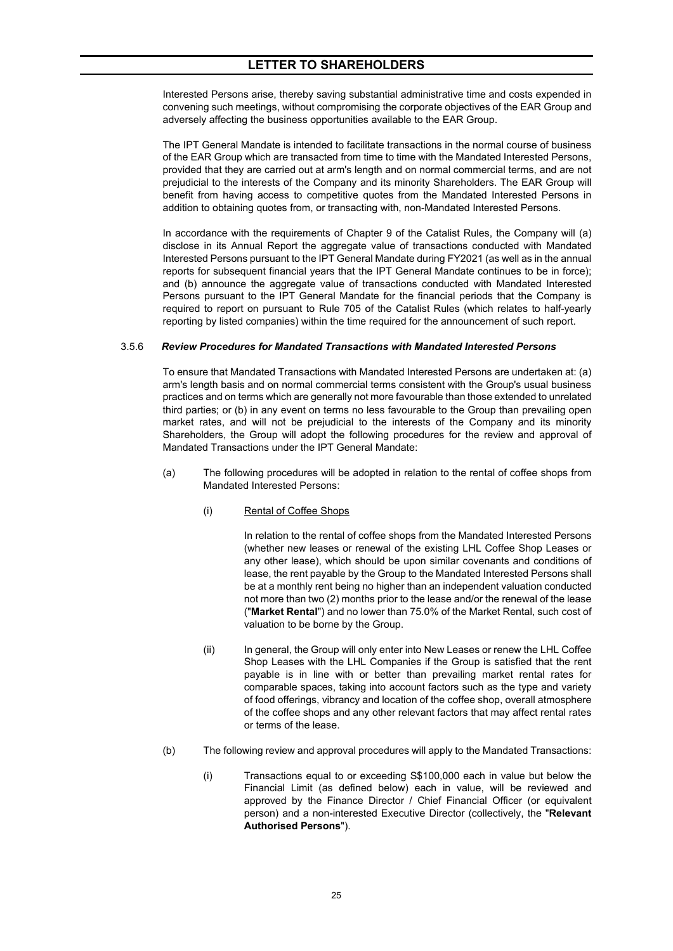Interested Persons arise, thereby saving substantial administrative time and costs expended in convening such meetings, without compromising the corporate objectives of the EAR Group and adversely affecting the business opportunities available to the EAR Group.

The IPT General Mandate is intended to facilitate transactions in the normal course of business of the EAR Group which are transacted from time to time with the Mandated Interested Persons, provided that they are carried out at arm's length and on normal commercial terms, and are not prejudicial to the interests of the Company and its minority Shareholders. The EAR Group will benefit from having access to competitive quotes from the Mandated Interested Persons in addition to obtaining quotes from, or transacting with, non-Mandated Interested Persons.

In accordance with the requirements of Chapter 9 of the Catalist Rules, the Company will (a) disclose in its Annual Report the aggregate value of transactions conducted with Mandated Interested Persons pursuant to the IPT General Mandate during FY2021 (as well as in the annual reports for subsequent financial years that the IPT General Mandate continues to be in force); and (b) announce the aggregate value of transactions conducted with Mandated Interested Persons pursuant to the IPT General Mandate for the financial periods that the Company is required to report on pursuant to Rule 705 of the Catalist Rules (which relates to half-yearly reporting by listed companies) within the time required for the announcement of such report.

#### 3.5.6 *Review Procedures for Mandated Transactions with Mandated Interested Persons*

To ensure that Mandated Transactions with Mandated Interested Persons are undertaken at: (a) arm's length basis and on normal commercial terms consistent with the Group's usual business practices and on terms which are generally not more favourable than those extended to unrelated third parties; or (b) in any event on terms no less favourable to the Group than prevailing open market rates, and will not be prejudicial to the interests of the Company and its minority Shareholders, the Group will adopt the following procedures for the review and approval of Mandated Transactions under the IPT General Mandate:

- (a) The following procedures will be adopted in relation to the rental of coffee shops from Mandated Interested Persons:
	- (i) Rental of Coffee Shops

In relation to the rental of coffee shops from the Mandated Interested Persons (whether new leases or renewal of the existing LHL Coffee Shop Leases or any other lease), which should be upon similar covenants and conditions of lease, the rent payable by the Group to the Mandated Interested Persons shall be at a monthly rent being no higher than an independent valuation conducted not more than two (2) months prior to the lease and/or the renewal of the lease ("**Market Rental**") and no lower than 75.0% of the Market Rental, such cost of valuation to be borne by the Group.

- (ii) In general, the Group will only enter into New Leases or renew the LHL Coffee Shop Leases with the LHL Companies if the Group is satisfied that the rent payable is in line with or better than prevailing market rental rates for comparable spaces, taking into account factors such as the type and variety of food offerings, vibrancy and location of the coffee shop, overall atmosphere of the coffee shops and any other relevant factors that may affect rental rates or terms of the lease.
- (b) The following review and approval procedures will apply to the Mandated Transactions:
	- (i) Transactions equal to or exceeding S\$100,000 each in value but below the Financial Limit (as defined below) each in value, will be reviewed and approved by the Finance Director / Chief Financial Officer (or equivalent person) and a non-interested Executive Director (collectively, the "**Relevant Authorised Persons**").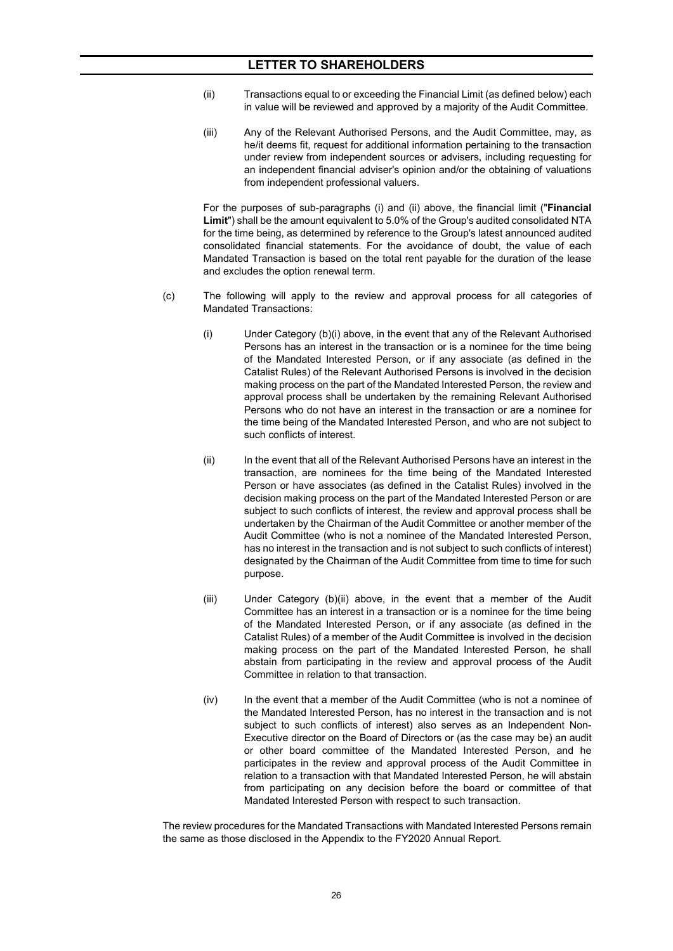- (ii) Transactions equal to or exceeding the Financial Limit (as defined below) each in value will be reviewed and approved by a majority of the Audit Committee.
- (iii) Any of the Relevant Authorised Persons, and the Audit Committee, may, as he/it deems fit, request for additional information pertaining to the transaction under review from independent sources or advisers, including requesting for an independent financial adviser's opinion and/or the obtaining of valuations from independent professional valuers.

For the purposes of sub-paragraphs (i) and (ii) above, the financial limit ("**Financial Limit**") shall be the amount equivalent to 5.0% of the Group's audited consolidated NTA for the time being, as determined by reference to the Group's latest announced audited consolidated financial statements. For the avoidance of doubt, the value of each Mandated Transaction is based on the total rent payable for the duration of the lease and excludes the option renewal term.

- (c) The following will apply to the review and approval process for all categories of Mandated Transactions:
	- (i) Under Category (b)(i) above, in the event that any of the Relevant Authorised Persons has an interest in the transaction or is a nominee for the time being of the Mandated Interested Person, or if any associate (as defined in the Catalist Rules) of the Relevant Authorised Persons is involved in the decision making process on the part of the Mandated Interested Person, the review and approval process shall be undertaken by the remaining Relevant Authorised Persons who do not have an interest in the transaction or are a nominee for the time being of the Mandated Interested Person, and who are not subject to such conflicts of interest.
	- (ii) In the event that all of the Relevant Authorised Persons have an interest in the transaction, are nominees for the time being of the Mandated Interested Person or have associates (as defined in the Catalist Rules) involved in the decision making process on the part of the Mandated Interested Person or are subject to such conflicts of interest, the review and approval process shall be undertaken by the Chairman of the Audit Committee or another member of the Audit Committee (who is not a nominee of the Mandated Interested Person, has no interest in the transaction and is not subject to such conflicts of interest) designated by the Chairman of the Audit Committee from time to time for such purpose.
	- (iii) Under Category (b)(ii) above, in the event that a member of the Audit Committee has an interest in a transaction or is a nominee for the time being of the Mandated Interested Person, or if any associate (as defined in the Catalist Rules) of a member of the Audit Committee is involved in the decision making process on the part of the Mandated Interested Person, he shall abstain from participating in the review and approval process of the Audit Committee in relation to that transaction.
	- (iv) In the event that a member of the Audit Committee (who is not a nominee of the Mandated Interested Person, has no interest in the transaction and is not subject to such conflicts of interest) also serves as an Independent Non-Executive director on the Board of Directors or (as the case may be) an audit or other board committee of the Mandated Interested Person, and he participates in the review and approval process of the Audit Committee in relation to a transaction with that Mandated Interested Person, he will abstain from participating on any decision before the board or committee of that Mandated Interested Person with respect to such transaction.

The review procedures for the Mandated Transactions with Mandated Interested Persons remain the same as those disclosed in the Appendix to the FY2020 Annual Report.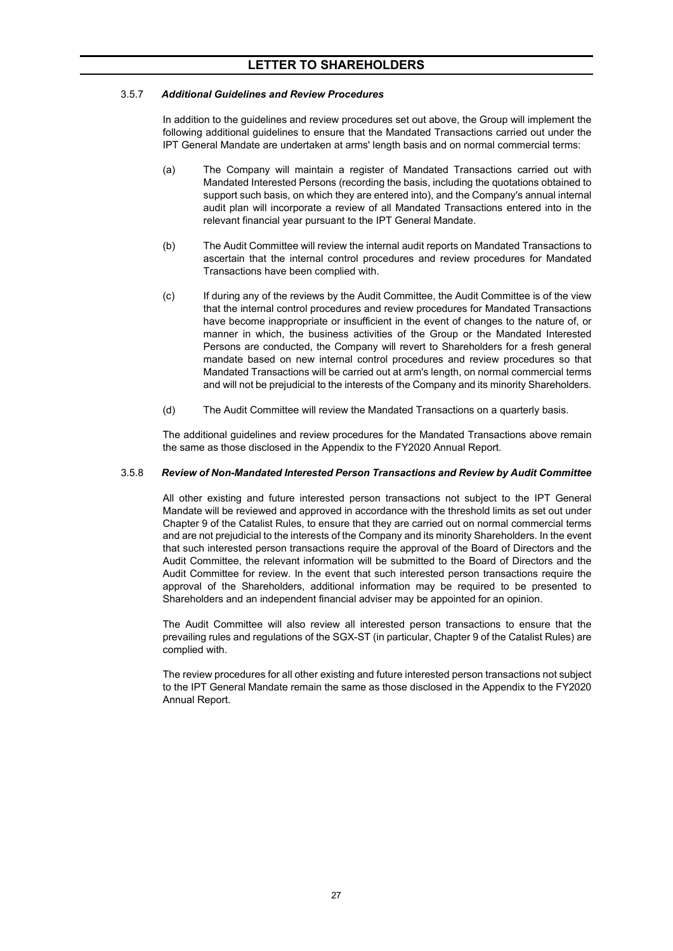#### 3.5.7 *Additional Guidelines and Review Procedures*

In addition to the guidelines and review procedures set out above, the Group will implement the following additional guidelines to ensure that the Mandated Transactions carried out under the IPT General Mandate are undertaken at arms' length basis and on normal commercial terms:

- (a) The Company will maintain a register of Mandated Transactions carried out with Mandated Interested Persons (recording the basis, including the quotations obtained to support such basis, on which they are entered into), and the Company's annual internal audit plan will incorporate a review of all Mandated Transactions entered into in the relevant financial year pursuant to the IPT General Mandate.
- (b) The Audit Committee will review the internal audit reports on Mandated Transactions to ascertain that the internal control procedures and review procedures for Mandated Transactions have been complied with.
- (c) If during any of the reviews by the Audit Committee, the Audit Committee is of the view that the internal control procedures and review procedures for Mandated Transactions have become inappropriate or insufficient in the event of changes to the nature of, or manner in which, the business activities of the Group or the Mandated Interested Persons are conducted, the Company will revert to Shareholders for a fresh general mandate based on new internal control procedures and review procedures so that Mandated Transactions will be carried out at arm's length, on normal commercial terms and will not be prejudicial to the interests of the Company and its minority Shareholders.
- (d) The Audit Committee will review the Mandated Transactions on a quarterly basis.

The additional guidelines and review procedures for the Mandated Transactions above remain the same as those disclosed in the Appendix to the FY2020 Annual Report.

#### 3.5.8 *Review of Non-Mandated Interested Person Transactions and Review by Audit Committee*

All other existing and future interested person transactions not subject to the IPT General Mandate will be reviewed and approved in accordance with the threshold limits as set out under Chapter 9 of the Catalist Rules, to ensure that they are carried out on normal commercial terms and are not prejudicial to the interests of the Company and its minority Shareholders. In the event that such interested person transactions require the approval of the Board of Directors and the Audit Committee, the relevant information will be submitted to the Board of Directors and the Audit Committee for review. In the event that such interested person transactions require the approval of the Shareholders, additional information may be required to be presented to Shareholders and an independent financial adviser may be appointed for an opinion.

The Audit Committee will also review all interested person transactions to ensure that the prevailing rules and regulations of the SGX-ST (in particular, Chapter 9 of the Catalist Rules) are complied with.

The review procedures for all other existing and future interested person transactions not subject to the IPT General Mandate remain the same as those disclosed in the Appendix to the FY2020 Annual Report.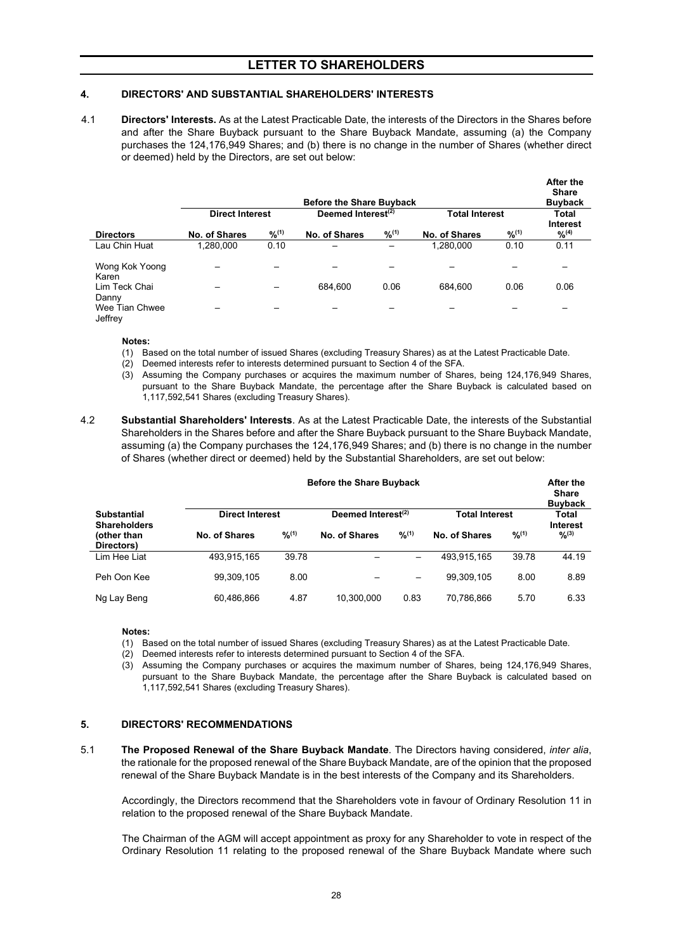### <span id="page-27-0"></span>**4. DIRECTORS' AND SUBSTANTIAL SHAREHOLDERS' INTERESTS**

4.1 **Directors' Interests.** As at the Latest Practicable Date, the interests of the Directors in the Shares before and after the Share Buyback pursuant to the Share Buyback Mandate, assuming (a) the Company purchases the 124,176,949 Shares; and (b) there is no change in the number of Shares (whether direct or deemed) held by the Directors, are set out below:

|                                    |                        |             | <b>Before the Share Buyback</b> |             |                       |             | <b>After the</b><br><b>Share</b><br><b>Buyback</b> |  |
|------------------------------------|------------------------|-------------|---------------------------------|-------------|-----------------------|-------------|----------------------------------------------------|--|
|                                    | <b>Direct Interest</b> |             | Deemed Interest $(2)$           |             | <b>Total Interest</b> |             | Total                                              |  |
| <b>Directors</b>                   | No. of Shares          | $9/2^{(1)}$ | No. of Shares                   | $9/6^{(1)}$ | No. of Shares         | $9/6^{(1)}$ | <b>Interest</b><br>$\frac{9}{6}$ <sup>(4)</sup>    |  |
| Lau Chin Huat                      | 1,280,000              | 0.10        |                                 |             | 1,280,000             | 0.10        | 0.11                                               |  |
| Wong Kok Yoong<br>Karen            |                        |             |                                 |             |                       |             |                                                    |  |
| Lim Teck Chai                      |                        | –           | 684.600                         | 0.06        | 684.600               | 0.06        | 0.06                                               |  |
| Danny<br>Wee Tian Chwee<br>Jeffrey |                        |             |                                 |             |                       |             |                                                    |  |

#### **Notes:**

- (1) Based on the total number of issued Shares (excluding Treasury Shares) as at the Latest Practicable Date.
- (2) Deemed interests refer to interests determined pursuant to Section 4 of the SFA.
- (3) Assuming the Company purchases or acquires the maximum number of Shares, being 124,176,949 Shares, pursuant to the Share Buyback Mandate, the percentage after the Share Buyback is calculated based on 1,117,592,541 Shares (excluding Treasury Shares).
- 4.2 **Substantial Shareholders' Interests**. As at the Latest Practicable Date, the interests of the Substantial Shareholders in the Shares before and after the Share Buyback pursuant to the Share Buyback Mandate, assuming (a) the Company purchases the 124,176,949 Shares; and (b) there is no change in the number of Shares (whether direct or deemed) held by the Substantial Shareholders, are set out below:

|                                           | <b>Before the Share Buyback</b> |             |                                |             |                       |       | After the<br><b>Share</b><br><b>Buyback</b> |
|-------------------------------------------|---------------------------------|-------------|--------------------------------|-------------|-----------------------|-------|---------------------------------------------|
| <b>Substantial</b><br><b>Shareholders</b> | <b>Direct Interest</b>          |             | Deemed Interest <sup>(2)</sup> |             | <b>Total Interest</b> |       | Total<br>Interest                           |
| (other than<br>Directors)                 | No. of Shares                   | $9/0^{(1)}$ | No. of Shares                  | $9/6^{(1)}$ | No. of Shares         | 9/10  | $9/2^{(3)}$                                 |
| Lim Hee Liat                              | 493.915.165                     | 39.78       |                                |             | 493.915.165           | 39.78 | 44.19                                       |
| Peh Oon Kee                               | 99.309.105                      | 8.00        |                                |             | 99.309.105            | 8.00  | 8.89                                        |
| Ng Lay Beng                               | 60.486.866                      | 4.87        | 10.300.000                     | 0.83        | 70.786.866            | 5.70  | 6.33                                        |

#### **Notes:**

- (1) Based on the total number of issued Shares (excluding Treasury Shares) as at the Latest Practicable Date.
- (2) Deemed interests refer to interests determined pursuant to Section 4 of the SFA.
- (3) Assuming the Company purchases or acquires the maximum number of Shares, being 124,176,949 Shares, pursuant to the Share Buyback Mandate, the percentage after the Share Buyback is calculated based on 1,117,592,541 Shares (excluding Treasury Shares).

### <span id="page-27-1"></span>**5. DIRECTORS' RECOMMENDATIONS**

5.1 **The Proposed Renewal of the Share Buyback Mandate**. The Directors having considered, *inter alia*, the rationale for the proposed renewal of the Share Buyback Mandate, are of the opinion that the proposed renewal of the Share Buyback Mandate is in the best interests of the Company and its Shareholders.

Accordingly, the Directors recommend that the Shareholders vote in favour of Ordinary Resolution 11 in relation to the proposed renewal of the Share Buyback Mandate.

The Chairman of the AGM will accept appointment as proxy for any Shareholder to vote in respect of the Ordinary Resolution 11 relating to the proposed renewal of the Share Buyback Mandate where such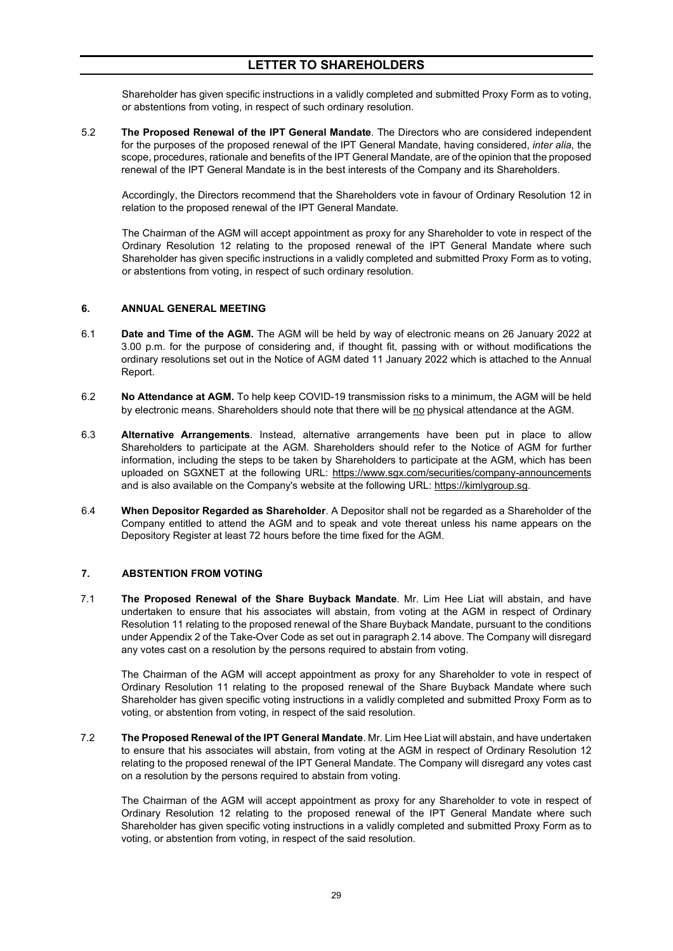Shareholder has given specific instructions in a validly completed and submitted Proxy Form as to voting, or abstentions from voting, in respect of such ordinary resolution.

5.2 **The Proposed Renewal of the IPT General Mandate**. The Directors who are considered independent for the purposes of the proposed renewal of the IPT General Mandate, having considered, *inter alia*, the scope, procedures, rationale and benefits of the IPT General Mandate, are of the opinion that the proposed renewal of the IPT General Mandate is in the best interests of the Company and its Shareholders.

Accordingly, the Directors recommend that the Shareholders vote in favour of Ordinary Resolution 12 in relation to the proposed renewal of the IPT General Mandate.

The Chairman of the AGM will accept appointment as proxy for any Shareholder to vote in respect of the Ordinary Resolution 12 relating to the proposed renewal of the IPT General Mandate where such Shareholder has given specific instructions in a validly completed and submitted Proxy Form as to voting, or abstentions from voting, in respect of such ordinary resolution.

#### <span id="page-28-0"></span>**6. ANNUAL GENERAL MEETING**

- 6.1 **Date and Time of the AGM.** The AGM will be held by way of electronic means on 26 January 2022 at 3.00 p.m. for the purpose of considering and, if thought fit, passing with or without modifications the ordinary resolutions set out in the Notice of AGM dated 11 January 2022 which is attached to the Annual Report.
- 6.2 **No Attendance at AGM.** To help keep COVID-19 transmission risks to a minimum, the AGM will be held by electronic means. Shareholders should note that there will be no physical attendance at the AGM.
- 6.3 **Alternative Arrangements**. Instead, alternative arrangements have been put in place to allow Shareholders to participate at the AGM. Shareholders should refer to the Notice of AGM for further information, including the steps to be taken by Shareholders to participate at the AGM, which has been uploaded on SGXNET at the following URL: https://www.sgx.com/securities/company-announcements and is also available on the Company's website at the following URL: https://kimlygroup.sg.
- 6.4 **When Depositor Regarded as Shareholder**. A Depositor shall not be regarded as a Shareholder of the Company entitled to attend the AGM and to speak and vote thereat unless his name appears on the Depository Register at least 72 hours before the time fixed for the AGM.

#### <span id="page-28-1"></span>**7. ABSTENTION FROM VOTING**

7.1 **The Proposed Renewal of the Share Buyback Mandate**. Mr. Lim Hee Liat will abstain, and have undertaken to ensure that his associates will abstain, from voting at the AGM in respect of Ordinary Resolution 11 relating to the proposed renewal of the Share Buyback Mandate, pursuant to the conditions under Appendix 2 of the Take-Over Code as set out in paragraph 2.14 above. The Company will disregard any votes cast on a resolution by the persons required to abstain from voting.

The Chairman of the AGM will accept appointment as proxy for any Shareholder to vote in respect of Ordinary Resolution 11 relating to the proposed renewal of the Share Buyback Mandate where such Shareholder has given specific voting instructions in a validly completed and submitted Proxy Form as to voting, or abstention from voting, in respect of the said resolution.

7.2 **The Proposed Renewal of the IPT General Mandate**. Mr. Lim Hee Liat will abstain, and have undertaken to ensure that his associates will abstain, from voting at the AGM in respect of Ordinary Resolution 12 relating to the proposed renewal of the IPT General Mandate. The Company will disregard any votes cast on a resolution by the persons required to abstain from voting.

The Chairman of the AGM will accept appointment as proxy for any Shareholder to vote in respect of Ordinary Resolution 12 relating to the proposed renewal of the IPT General Mandate where such Shareholder has given specific voting instructions in a validly completed and submitted Proxy Form as to voting, or abstention from voting, in respect of the said resolution.